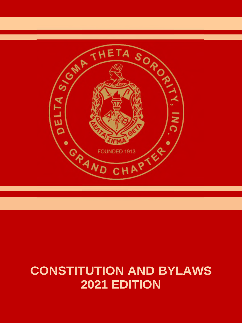

# **CONSTITUTION AND BYLAWS 2021 EDITION**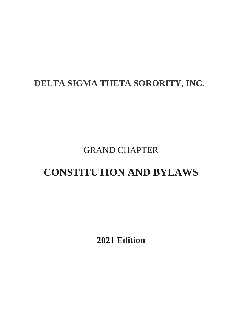# **DELTA SIGMA THETA SORORITY, INC.**

GRAND CHAPTER

# **CONSTITUTION AND BYLAWS**

**2021 Edition**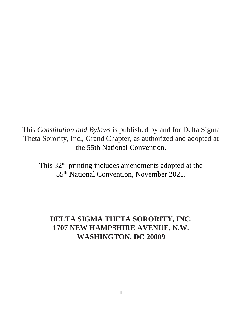This *Constitution and Bylaws* is published by and for Delta Sigma Theta Sorority, Inc., Grand Chapter, as authorized and adopted at the 55th National Convention.

This 32nd printing includes amendments adopted at the 55th National Convention, November 2021.

## **DELTA SIGMA THETA SORORITY, INC. 1707 NEW HAMPSHIRE AVENUE, N.W. WASHINGTON, DC 20009**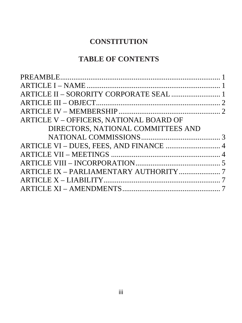# **CONSTITUTION**

# **TABLE OF CONTENTS**

| ARTICLE II - SORORITY CORPORATE SEAL  1 |  |
|-----------------------------------------|--|
|                                         |  |
|                                         |  |
| ARTICLE V – OFFICERS, NATIONAL BOARD OF |  |
| DIRECTORS, NATIONAL COMMITTEES AND      |  |
|                                         |  |
| ARTICLE VI - DUES, FEES, AND FINANCE  4 |  |
|                                         |  |
|                                         |  |
|                                         |  |
|                                         |  |
|                                         |  |
|                                         |  |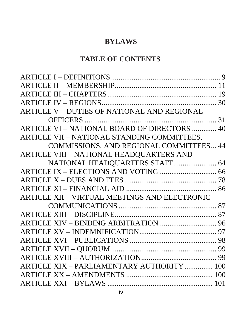# **BYLAWS**

# **TABLE OF CONTENTS**

| ARTICLE V - DUTIES OF NATIONAL AND REGIONAL   |  |
|-----------------------------------------------|--|
|                                               |  |
| ARTICLE VI - NATIONAL BOARD OF DIRECTORS  40  |  |
| ARTICLE VII - NATIONAL STANDING COMMITTEES,   |  |
| COMMISSIONS, AND REGIONAL COMMITTEES 44       |  |
| ARTICLE VIII - NATIONAL HEADQUARTERS AND      |  |
| NATIONAL HEADQUARTERS STAFF 64                |  |
|                                               |  |
|                                               |  |
|                                               |  |
| ARTICLE XII - VIRTUAL MEETINGS AND ELECTRONIC |  |
|                                               |  |
|                                               |  |
|                                               |  |
|                                               |  |
|                                               |  |
|                                               |  |
|                                               |  |
| ARTICLE XIX - PARLIAMENTARY AUTHORITY  100    |  |
|                                               |  |
|                                               |  |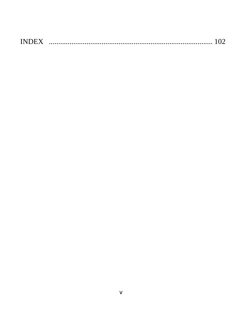| <b>INDEX</b> |  |  |
|--------------|--|--|
|--------------|--|--|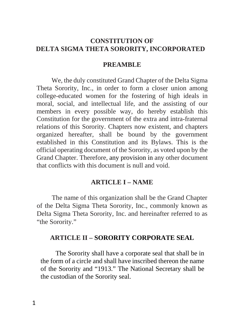## <span id="page-8-0"></span>**CONSTITUTION OF DELTA SIGMA THETA SORORITY, INCORPORATED**

#### <span id="page-8-1"></span>**PREAMBLE**

We, the duly constituted Grand Chapter of the Delta Sigma Theta Sorority, Inc., in order to form a closer union among college-educated women for the fostering of high ideals in moral, social, and intellectual life, and the assisting of our members in every possible way, do hereby establish this Constitution for the government of the extra and intra-fraternal relations of this Sorority. Chapters now existent, and chapters organized hereafter, shall be bound by the government established in this Constitution and its Bylaws. This is the official operating document of the Sorority, as voted upon by the Grand Chapter. Therefore, any provision in any other document that conflicts with this document is null and void.

#### <span id="page-8-2"></span>**ARTICLE I – NAME**

The name of this organization shall be the Grand Chapter of the Delta Sigma Theta Sorority, Inc., commonly known as Delta Sigma Theta Sorority, Inc. and hereinafter referred to as "the Sorority."

#### <span id="page-8-3"></span>**ARTICLE II – SORORITY CORPORATE SEAL**

The Sorority shall have a corporate seal that shall be in the form of a circle and shall have inscribed thereon the name of the Sorority and "1913." The National Secretary shall be the custodian of the Sorority seal.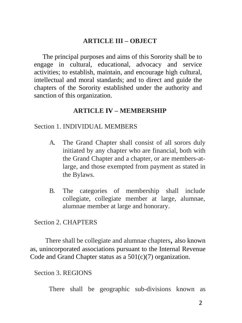### <span id="page-9-0"></span>**ARTICLE III – OBJECT**

 The principal purposes and aims of this Sorority shall be to engage in cultural, educational, advocacy and service activities; to establish, maintain, and encourage high cultural, intellectual and moral standards; and to direct and guide the chapters of the Sorority established under the authority and sanction of this organization.

#### <span id="page-9-1"></span>**ARTICLE IV – MEMBERSHIP**

#### Section 1. INDIVIDUAL MEMBERS

- A. The Grand Chapter shall consist of all sorors duly initiated by any chapter who are financial, both with the Grand Chapter and a chapter, or are members-atlarge, and those exempted from payment as stated in the Bylaws.
- B. The categories of membership shall include collegiate, collegiate member at large, alumnae, alumnae member at large and honorary.

## Section 2. CHAPTERS

There shall be collegiate and alumnae chapters, also known as, unincorporated associations pursuant to the Internal Revenue Code and Grand Chapter status as a 501(c)(7) organization.

Section 3. REGIONS

There shall be geographic sub-divisions known as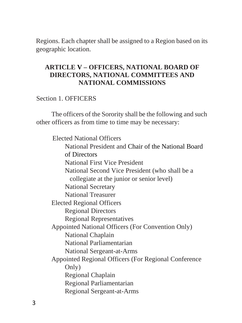Regions. Each chapter shall be assigned to a Region based on its geographic location.

## <span id="page-10-1"></span><span id="page-10-0"></span>**ARTICLE V – OFFICERS, NATIONAL BOARD OF DIRECTORS, NATIONAL COMMITTEES AND NATIONAL COMMISSIONS**

#### Section 1. OFFICERS

The officers of the Sorority shall be the following and such other officers as from time to time may be necessary:

Elected National Officers National President and Chair of the National Board of Directors National First Vice President National Second Vice President (who shall be a collegiate at the junior or senior level) National Secretary National Treasurer Elected Regional Officers Regional Directors Regional Representatives Appointed National Officers (For Convention Only) National Chaplain National Parliamentarian National Sergeant-at-Arms Appointed Regional Officers (For Regional Conference Only) Regional Chaplain Regional Parliamentarian Regional Sergeant-at-Arms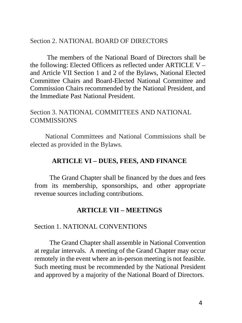#### Section 2. NATIONAL BOARD OF DIRECTORS

 The members of the National Board of Directors shall be the following: Elected Officers as reflected under ARTICLE V – and Article VII Section 1 and 2 of the Bylaws, National Elected Committee Chairs and Board-Elected National Committee and Commission Chairs recommended by the National President, and the Immediate Past National President.

## Section 3. NATIONAL COMMITTEES AND NATIONAL **COMMISSIONS**

<span id="page-11-0"></span>National Committees and National Commissions shall be elected as provided in the Bylaws.

### **ARTICLE VI – DUES, FEES, AND FINANCE**

The Grand Chapter shall be financed by the dues and fees from its membership, sponsorships, and other appropriate revenue sources including contributions.

#### **ARTICLE VII – MEETINGS**

#### <span id="page-11-1"></span>Section 1. NATIONAL CONVENTIONS

The Grand Chapter shall assemble in National Convention at regular intervals. A meeting of the Grand Chapter may occur remotely in the event where an in-person meeting is not feasible. Such meeting must be recommended by the National President and approved by a majority of the National Board of Directors.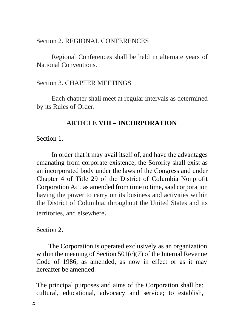#### Section 2. REGIONAL CONFERENCES

Regional Conferences shall be held in alternate years of National Conventions.

## Section 3. CHAPTER MEETINGS

<span id="page-12-0"></span>Each chapter shall meet at regular intervals as determined by its Rules of Order.

## **ARTICLE VIII – INCORPORATION**

Section 1.

In order that it may avail itself of, and have the advantages emanating from corporate existence, the Sorority shall exist as an incorporated body under the laws of the Congress and under Chapter 4 of Title 29 of the District of Columbia Nonprofit Corporation Act, as amended from time to time, said corporation having the power to carry on its business and activities within the District of Columbia, throughout the United States and its territories, and elsewhere.

## Section 2.

The Corporation is operated exclusively as an organization within the meaning of Section  $501(c)(7)$  of the Internal Revenue Code of 1986, as amended, as now in effect or as it may hereafter be amended.

The principal purposes and aims of the Corporation shall be: cultural, educational, advocacy and service; to establish,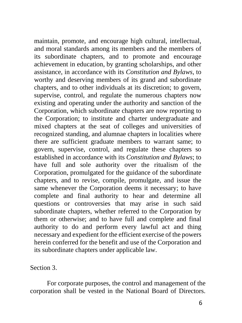maintain, promote, and encourage high cultural, intellectual, and moral standards among its members and the members of its subordinate chapters, and to promote and encourage achievement in education, by granting scholarships, and other assistance, in accordance with its *Constitution and Bylaws*, to worthy and deserving members of its grand and subordinate chapters, and to other individuals at its discretion; to govern, supervise, control, and regulate the numerous chapters now existing and operating under the authority and sanction of the Corporation, which subordinate chapters are now reporting to the Corporation; to institute and charter undergraduate and mixed chapters at the seat of colleges and universities of recognized standing, and alumnae chapters in localities where there are sufficient graduate members to warrant same; to govern, supervise, control, and regulate these chapters so established in accordance with its *Constitution and Bylaws*; to have full and sole authority over the ritualism of the Corporation, promulgated for the guidance of the subordinate chapters, and to revise, compile, promulgate, and issue the same whenever the Corporation deems it necessary; to have complete and final authority to hear and determine all questions or controversies that may arise in such said subordinate chapters, whether referred to the Corporation by them or otherwise; and to have full and complete and final authority to do and perform every lawful act and thing necessary and expedient for the efficient exercise of the powers herein conferred for the benefit and use of the Corporation and its subordinate chapters under applicable law.

Section 3.

 For corporate purposes, the control and management of the corporation shall be vested in the National Board of Directors.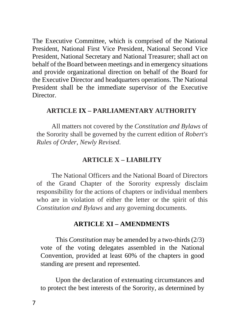The Executive Committee, which is comprised of the National President, National First Vice President, National Second Vice President, National Secretary and National Treasurer; shall act on behalf of the Board between meetings and in emergency situations and provide organizational direction on behalf of the Board for the Executive Director and headquarters operations. The National President shall be the immediate supervisor of the Executive Director.

### <span id="page-14-0"></span>**ARTICLE IX – PARLIAMENTARY AUTHORITY**

All matters not covered by the *Constitution and Bylaws* of the Sorority shall be governed by the current edition of *Robert's Rules of Order, Newly Revised.* 

## **ARTICLE X – LIABILITY**

<span id="page-14-1"></span>The National Officers and the National Board of Directors of the Grand Chapter of the Sorority expressly disclaim responsibility for the actions of chapters or individual members who are in violation of either the letter or the spirit of this *Constitution and Bylaws* and any governing documents.

## **ARTICLE XI – AMENDMENTS**

<span id="page-14-2"></span>This *Constitution* may be amended by a two-thirds (2/3) vote of the voting delegates assembled in the National Convention, provided at least 60% of the chapters in good standing are present and represented.

Upon the declaration of extenuating circumstances and to protect the best interests of the Sorority, as determined by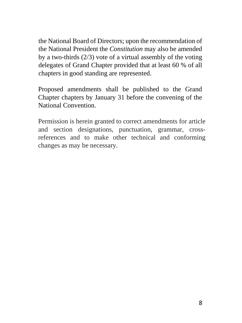the National Board of Directors; upon the recommendation of the National President the *Constitution* may also be amended by a two-thirds (2/3) vote of a virtual assembly of the voting delegates of Grand Chapter provided that at least 60 % of all chapters in good standing are represented.

Proposed amendments shall be published to the Grand Chapter chapters by January 31 before the convening of the National Convention.

Permission is herein granted to correct amendments for article and section designations, punctuation, grammar, crossreferences and to make other technical and conforming changes as may be necessary.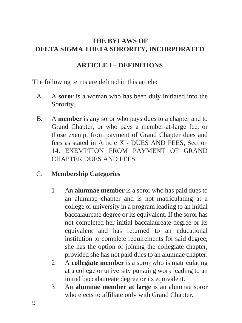## <span id="page-16-0"></span>**THE BYLAWS OF DELTA SIGMA THETA SORORITY, INCORPORATED**

## **ARTICLE I – DEFINITIONS**

The following terms are defined in this article:

- A. A **soror** is a woman who has been duly initiated into the Sorority.
- B. A **member** is any soror who pays dues to a chapter and to Grand Chapter, or who pays a member-at-large fee, or those exempt from payment of Grand Chapter dues and fees as stated in Article X - DUES AND FEES, Section 14. EXEMPTION FROM PAYMENT OF GRAND CHAPTER DUES AND FEES.

## C. **Membership Categories**

- 1. An **alumnae member** is a soror who has paid dues to an alumnae chapter and is not matriculating at a college or university in a program leading to an initial baccalaureate degree or its equivalent. If the soror has not completed her initial baccalaureate degree or its equivalent and has returned to an educational institution to complete requirements for said degree, she has the option of joining the collegiate chapter, provided she has not paid dues to an alumnae chapter.
- 2. A **collegiate member** is a soror who is matriculating at a college or university pursuing work leading to an initial baccalaureate degree or its equivalent.
- 3. An **alumnae member at large** is an alumnae soror who elects to affiliate only with Grand Chapter.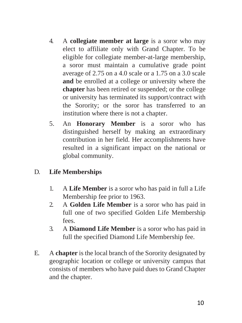- 4. A **collegiate member at large** is a soror who may elect to affiliate only with Grand Chapter. To be eligible for collegiate member-at-large membership, a soror must maintain a cumulative grade point average of 2.75 on a 4.0 scale or a 1.75 on a 3.0 scale **and** be enrolled at a college or university where the **chapter** has been retired or suspended; or the college or university has terminated its support/contract with the Sorority; or the soror has transferred to an institution where there is not a chapter.
- 5. An **Honorary Member** is a soror who has distinguished herself by making an extraordinary contribution in her field. Her accomplishments have resulted in a significant impact on the national or global community.

## D. **Life Memberships**

- 1. A **Life Member** is a soror who has paid in full a Life Membership fee prior to 1963.
- 2. A **Golden Life Member** is a soror who has paid in full one of two specified Golden Life Membership fees.
- 3. A **Diamond Life Member** is a soror who has paid in full the specified Diamond Life Membership fee.
- E. A **chapter** is the local branch of the Sorority designated by geographic location or college or university campus that consists of members who have paid dues to Grand Chapter and the chapter.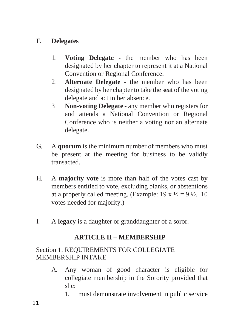## F. **Delegates**

- 1. **Voting Delegate**  the member who has been designated by her chapter to represent it at a National Convention or Regional Conference.
- 2. **Alternate Delegate**  the member who has been designated by her chapter to take the seat of the voting delegate and act in her absence.
- 3. **Non-voting Delegate**  any member who registers for and attends a National Convention or Regional Conference who is neither a voting nor an alternate delegate.
- G. A **quorum** is the minimum number of members who must be present at the meeting for business to be validly transacted.
- H. A **majority vote** is more than half of the votes cast by members entitled to vote, excluding blanks, or abstentions at a properly called meeting. (Example:  $19 \times \frac{1}{2} = 9 \frac{1}{2}$ . 10 votes needed for majority.)
- <span id="page-18-0"></span>I. A **legacy** is a daughter or granddaughter of a soror.

## **ARTICLE II – MEMBERSHIP**

## Section 1. REQUIREMENTS FOR COLLEGIATE MEMBERSHIP INTAKE

- A. Any woman of good character is eligible for collegiate membership in the Sorority provided that she:
	- 1. must demonstrate involvement in public service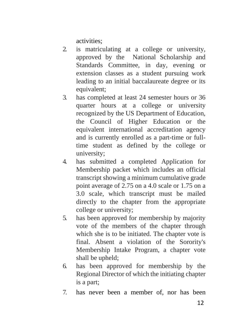activities;

- 2. is matriculating at a college or university, approved by the National Scholarship and Standards Committee, in day, evening or extension classes as a student pursuing work leading to an initial baccalaureate degree or its equivalent;
- 3. has completed at least 24 semester hours or 36 quarter hours at a college or university recognized by the US Department of Education, the Council of Higher Education or the equivalent international accreditation agency and is currently enrolled as a part-time or fulltime student as defined by the college or university;
- 4. has submitted a completed Application for Membership packet which includes an official transcript showing a minimum cumulative grade point average of 2.75 on a 4.0 scale or 1.75 on a 3.0 scale, which transcript must be mailed directly to the chapter from the appropriate college or university;
- 5. has been approved for membership by majority vote of the members of the chapter through which she is to be initiated. The chapter vote is final. Absent a violation of the Sorority's Membership Intake Program, a chapter vote shall be upheld;
- 6. has been approved for membership by the Regional Director of which the initiating chapter is a part;
- 7. has never been a member of, nor has been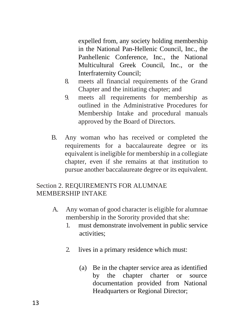expelled from, any society holding membership in the National Pan-Hellenic Council, Inc., the Panhellenic Conference, Inc., the National Multicultural Greek Council, Inc., or the Interfraternity Council;

- 8. meets all financial requirements of the Grand Chapter and the initiating chapter; and
- 9. meets all requirements for membership as outlined in the Administrative Procedures for Membership Intake and procedural manuals approved by the Board of Directors.
- B. Any woman who has received or completed the requirements for a baccalaureate degree or its equivalent is ineligible for membership in a collegiate chapter, even if she remains at that institution to pursue another baccalaureate degree or its equivalent.

## Section 2. REQUIREMENTS FOR ALUMNAE MEMBERSHIP INTAKE

- A. Any woman of good character is eligible for alumnae membership in the Sorority provided that she:
	- 1. must demonstrate involvement in public service activities;
	- 2. lives in a primary residence which must:
		- (a) Be in the chapter service area as identified by the chapter charter or source documentation provided from National Headquarters or Regional Director;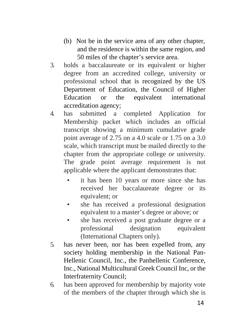- (b) Not be in the service area of any other chapter, and the residence is within the same region, and 50 miles of the chapter's service area.
- 3. holds a baccalaureate or its equivalent or higher degree from an accredited college, university or professional school that is recognized by the US Department of Education, the Council of Higher Education or the equivalent international accreditation agency;
- 4. has submitted a completed Application for Membership packet which includes an official transcript showing a minimum cumulative grade point average of 2.75 on a 4.0 scale or 1.75 on a 3.0 scale, which transcript must be mailed directly to the chapter from the appropriate college or university. The grade point average requirement is not applicable where the applicant demonstrates that:
	- it has been 10 years or more since she has received her baccalaureate degree or its equivalent; or
	- she has received a professional designation equivalent to a master's degree or above; or
	- she has received a post graduate degree or a professional designation equivalent (International Chapters only).
- 5. has never been, nor has been expelled from, any society holding membership in the National Pan-Hellenic Council, Inc., the Panhellenic Conference, Inc., National Multicultural Greek Council Inc, or the Interfraternity Council;
- 6. has been approved for membership by majority vote of the members of the chapter through which she is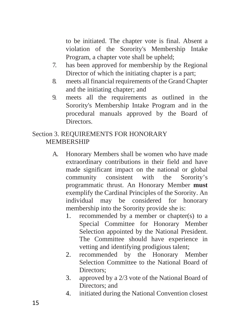to be initiated. The chapter vote is final. Absent a violation of the Sorority's Membership Intake Program, a chapter vote shall be upheld;

- 7. has been approved for membership by the Regional Director of which the initiating chapter is a part;
- 8. meets all financial requirements of the Grand Chapter and the initiating chapter; and
- 9. meets all the requirements as outlined in the Sorority's Membership Intake Program and in the procedural manuals approved by the Board of **Directors**

## Section 3. REQUIREMENTS FOR HONORARY MEMBERSHIP

- A. Honorary Members shall be women who have made extraordinary contributions in their field and have made significant impact on the national or global community consistent with the Sorority's programmatic thrust. An Honorary Member **must** exemplify the Cardinal Principles of the Sorority. An individual may be considered for honorary membership into the Sorority provide she is:
	- 1. recommended by a member or chapter(s) to a Special Committee for Honorary Member Selection appointed by the National President. The Committee should have experience in vetting and identifying prodigious talent;
	- 2. recommended by the Honorary Member Selection Committee to the National Board of Directors:
	- 3. approved by a 2/3 vote of the National Board of Directors; and
	- 4. initiated during the National Convention closest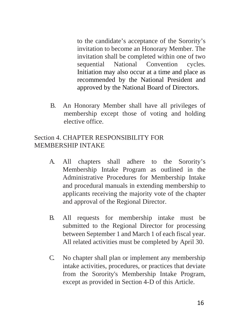to the candidate's acceptance of the Sorority's invitation to become an Honorary Member. The invitation shall be completed within one of two sequential National Convention cycles. Initiation may also occur at a time and place as recommended by the National President and approved by the National Board of Directors.

B. An Honorary Member shall have all privileges of membership except those of voting and holding elective office.

## Section 4. CHAPTER RESPONSIBILITY FOR MEMBERSHIP INTAKE

- A. All chapters shall adhere to the Sorority's Membership Intake Program as outlined in the Administrative Procedures for Membership Intake and procedural manuals in extending membership to applicants receiving the majority vote of the chapter and approval of the Regional Director.
- B. All requests for membership intake must be submitted to the Regional Director for processing between September 1 and March 1 of each fiscal year. All related activities must be completed by April 30.
- C. No chapter shall plan or implement any membership intake activities, procedures, or practices that deviate from the Sorority's Membership Intake Program, except as provided in Section 4-D of this Article.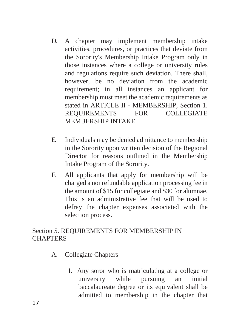- D. A chapter may implement membership intake activities, procedures, or practices that deviate from the Sorority's Membership Intake Program only in those instances where a college or university rules and regulations require such deviation. There shall, however, be no deviation from the academic requirement; in all instances an applicant for membership must meet the academic requirements as stated in ARTICLE II - MEMBERSHIP, Section 1. REQUIREMENTS FOR COLLEGIATE MEMBERSHIP INTAKE.
- E. Individuals may be denied admittance to membership in the Sorority upon written decision of the Regional Director for reasons outlined in the Membership Intake Program of the Sorority.
- F. All applicants that apply for membership will be charged a nonrefundable application processing fee in the amount of \$15 for collegiate and \$30 for alumnae. This is an administrative fee that will be used to defray the chapter expenses associated with the selection process.

## Section 5. REQUIREMENTS FOR MEMBERSHIP IN **CHAPTERS**

- A. Collegiate Chapters
	- 1. Any soror who is matriculating at a college or university while pursuing an initial baccalaureate degree or its equivalent shall be admitted to membership in the chapter that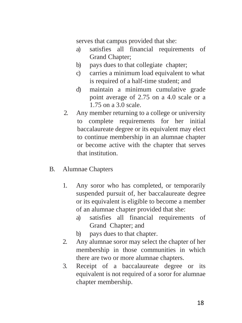serves that campus provided that she:

- a) satisfies all financial requirements of Grand Chapter;
- b) pays dues to that collegiate chapter;
- c) carries a minimum load equivalent to what is required of a half-time student; and
- d) maintain a minimum cumulative grade point average of 2.75 on a 4.0 scale or a 1.75 on a 3.0 scale.
- 2. Any member returning to a college or university to complete requirements for her initial baccalaureate degree or its equivalent may elect to continue membership in an alumnae chapter or become active with the chapter that serves that institution.
- B. Alumnae Chapters
	- 1. Any soror who has completed, or temporarily suspended pursuit of, her baccalaureate degree or its equivalent is eligible to become a member of an alumnae chapter provided that she:
		- a) satisfies all financial requirements of Grand Chapter; and
		- b) pays dues to that chapter.
	- 2. Any alumnae soror may select the chapter of her membership in those communities in which there are two or more alumnae chapters.
	- 3. Receipt of a baccalaureate degree or its equivalent is not required of a soror for alumnae chapter membership.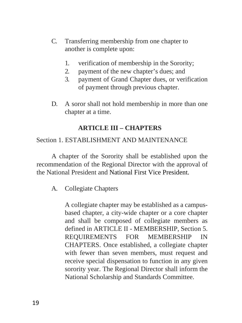- C. Transferring membership from one chapter to another is complete upon:
	- 1. verification of membership in the Sorority;
	- 2. payment of the new chapter's dues; and
	- 3. payment of Grand Chapter dues, or verification of payment through previous chapter.
- D. A soror shall not hold membership in more than one chapter at a time.

## **ARTICLE III – CHAPTERS**

## <span id="page-26-0"></span>Section 1. ESTABLISHMENT AND MAINTENANCE

A chapter of the Sorority shall be established upon the recommendation of the Regional Director with the approval of the National President and National First Vice President.

## A. Collegiate Chapters

A collegiate chapter may be established as a campusbased chapter, a city-wide chapter or a core chapter and shall be composed of collegiate members as defined in ARTICLE II - MEMBERSHIP, Section 5. REQUIREMENTS FOR MEMBERSHIP IN CHAPTERS. Once established, a collegiate chapter with fewer than seven members, must request and receive special dispensation to function in any given sorority year. The Regional Director shall inform the National Scholarship and Standards Committee.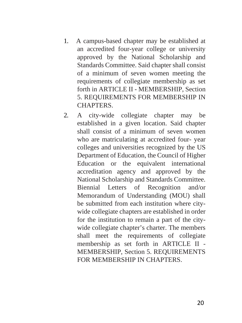- 1. A campus-based chapter may be established at an accredited four-year college or university approved by the National Scholarship and Standards Committee. Said chapter shall consist of a minimum of seven women meeting the requirements of collegiate membership as set forth in ARTICLE II - MEMBERSHIP, Section 5. REQUIREMENTS FOR MEMBERSHIP IN CHAPTERS.
- 2. A city-wide collegiate chapter may be established in a given location. Said chapter shall consist of a minimum of seven women who are matriculating at accredited four- year colleges and universities recognized by the US Department of Education, the Council of Higher Education or the equivalent international accreditation agency and approved by the National Scholarship and Standards Committee. Biennial Letters of Recognition and/or Memorandum of Understanding (MOU) shall be submitted from each institution where citywide collegiate chapters are established in order for the institution to remain a part of the citywide collegiate chapter's charter. The members shall meet the requirements of collegiate membership as set forth in ARTICLE II - MEMBERSHIP, Section 5. REQUIREMENTS FOR MEMBERSHIP IN CHAPTERS.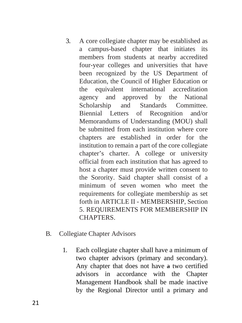- 3. A core collegiate chapter may be established as a campus-based chapter that initiates its members from students at nearby accredited four-year colleges and universities that have been recognized by the US Department of Education, the Council of Higher Education or the equivalent international accreditation agency and approved by the National Scholarship and Standards Committee. Biennial Letters of Recognition and/or Memorandums of Understanding (MOU) shall be submitted from each institution where core chapters are established in order for the institution to remain a part of the core collegiate chapter's charter. A college or university official from each institution that has agreed to host a chapter must provide written consent to the Sorority. Said chapter shall consist of a minimum of seven women who meet the requirements for collegiate membership as set forth in ARTICLE II - MEMBERSHIP, Section 5. REQUIREMENTS FOR MEMBERSHIP IN **CHAPTERS**
- B. Collegiate Chapter Advisors
	- 1. Each collegiate chapter shall have a minimum of two chapter advisors (primary and secondary). Any chapter that does not have a two certified advisors in accordance with the Chapter Management Handbook shall be made inactive by the Regional Director until a primary and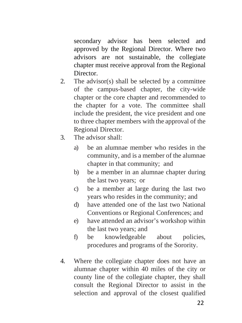secondary advisor has been selected and approved by the Regional Director. Where two advisors are not sustainable, the collegiate chapter must receive approval from the Regional **Director** 

- 2. The advisor(s) shall be selected by a committee of the campus-based chapter, the city-wide chapter or the core chapter and recommended to the chapter for a vote. The committee shall include the president, the vice president and one to three chapter members with the approval of the Regional Director.
- 3. The advisor shall:
	- a) be an alumnae member who resides in the community, and is a member of the alumnae chapter in that community; and
	- b) be a member in an alumnae chapter during the last two years; or
	- c) be a member at large during the last two years who resides in the community; and
	- d) have attended one of the last two National Conventions or Regional Conferences; and
	- e) have attended an advisor's workshop within the last two years; and
	- f) be knowledgeable about policies, procedures and programs of the Sorority.
- 4. Where the collegiate chapter does not have an alumnae chapter within 40 miles of the city or county line of the collegiate chapter, they shall consult the Regional Director to assist in the selection and approval of the closest qualified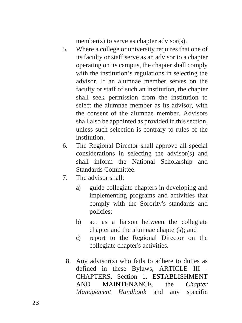member(s) to serve as chapter advisor(s).

- 5. Where a college or university requires that one of its faculty or staff serve as an advisor to a chapter operating on its campus, the chapter shall comply with the institution's regulations in selecting the advisor. If an alumnae member serves on the faculty or staff of such an institution, the chapter shall seek permission from the institution to select the alumnae member as its advisor, with the consent of the alumnae member. Advisors shall also be appointed as provided in this section, unless such selection is contrary to rules of the institution.
- 6. The Regional Director shall approve all special considerations in selecting the advisor(s) and shall inform the National Scholarship and Standards Committee.
- 7. The advisor shall:
	- a) guide collegiate chapters in developing and implementing programs and activities that comply with the Sorority's standards and policies;
	- b) act as a liaison between the collegiate chapter and the alumnae chapter(s); and
	- c) report to the Regional Director on the collegiate chapter's activities.
	- 8. Any advisor(s) who fails to adhere to duties as defined in these Bylaws, ARTICLE III - CHAPTERS, Section 1. ESTABLISHMENT AND MAINTENANCE, the *Chapter Management Handbook* and any specific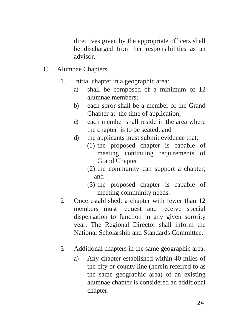directives given by the appropriate officers shall be discharged from her responsibilities as an advisor.

- C. Alumnae Chapters
	- 1. Initial chapter in a geographic area:
		- a) shall be composed of a minimum of 12 alumnae members;
		- b) each soror shall be a member of the Grand Chapter at the time of application;
		- c) each member shall reside in the area where the chapter is to be seated; and
		- d) the applicants must submit evidence that;
			- (1) the proposed chapter is capable of meeting continuing requirements of Grand Chapter;
			- (2) the community can support a chapter; and
			- (3) the proposed chapter is capable of meeting community needs.
	- 2. Once established, a chapter with fewer than 12 members must request and receive special dispensation to function in any given sorority year. The Regional Director shall inform the National Scholarship and Standards Committee.
	- 3. Additional chapters in the same geographic area.
		- a) Any chapter established within 40 miles of the city or county line (herein referred to as the same geographic area) of an existing alumnae chapter is considered an additional chapter.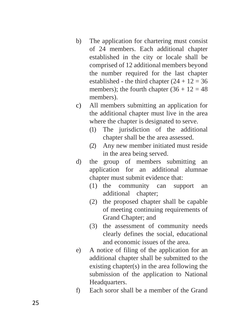- b) The application for chartering must consist of 24 members. Each additional chapter established in the city or locale shall be comprised of 12 additional members beyond the number required for the last chapter established - the third chapter  $(24 + 12 = 36$ members); the fourth chapter  $(36 + 12 = 48$ members).
- c) All members submitting an application for the additional chapter must live in the area where the chapter is designated to serve.
	- (1) The jurisdiction of the additional chapter shall be the area assessed.
	- (2) Any new member initiated must reside in the area being served.
- d) the group of members submitting an application for an additional alumnae chapter must submit evidence that:
	- (1) the community can support an additional chapter;
	- (2) the proposed chapter shall be capable of meeting continuing requirements of Grand Chapter; and
	- (3) the assessment of community needs clearly defines the social, educational and economic issues of the area.
- e) A notice of filing of the application for an additional chapter shall be submitted to the existing chapter(s) in the area following the submission of the application to National Headquarters.
- f) Each soror shall be a member of the Grand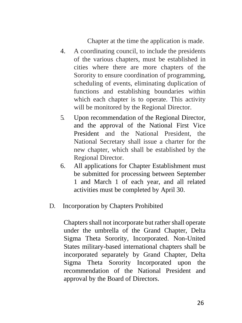Chapter at the time the application is made.

- 4. A coordinating council, to include the presidents of the various chapters, must be established in cities where there are more chapters of the Sorority to ensure coordination of programming, scheduling of events, eliminating duplication of functions and establishing boundaries within which each chapter is to operate. This activity will be monitored by the Regional Director.
- 5. Upon recommendation of the Regional Director, and the approval of the National First Vice President and the National President, the National Secretary shall issue a charter for the new chapter, which shall be established by the Regional Director.
- 6. All applications for Chapter Establishment must be submitted for processing between September 1 and March 1 of each year, and all related activities must be completed by April 30.
- D. Incorporation by Chapters Prohibited

Chapters shall not incorporate but rather shall operate under the umbrella of the Grand Chapter, Delta Sigma Theta Sorority, Incorporated. Non-United States military-based international chapters shall be incorporated separately by Grand Chapter, Delta Sigma Theta Sorority Incorporated upon the recommendation of the National President and approval by the Board of Directors.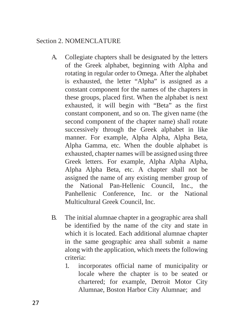## Section 2. NOMENCLATURE

- A. Collegiate chapters shall be designated by the letters of the Greek alphabet, beginning with Alpha and rotating in regular order to Omega. After the alphabet is exhausted, the letter "Alpha" is assigned as a constant component for the names of the chapters in these groups, placed first. When the alphabet is next exhausted, it will begin with "Beta" as the first constant component, and so on. The given name (the second component of the chapter name) shall rotate successively through the Greek alphabet in like manner. For example, Alpha Alpha, Alpha Beta, Alpha Gamma, etc. When the double alphabet is exhausted, chapter names will be assigned using three Greek letters. For example, Alpha Alpha Alpha, Alpha Alpha Beta, etc. A chapter shall not be assigned the name of any existing member group of the National Pan-Hellenic Council, Inc., the Panhellenic Conference, Inc. or the National Multicultural Greek Council, Inc.
- B. The initial alumnae chapter in a geographic area shall be identified by the name of the city and state in which it is located. Each additional alumnae chapter in the same geographic area shall submit a name along with the application, which meets the following criteria:
	- 1. incorporates official name of municipality or locale where the chapter is to be seated or chartered; for example, Detroit Motor City Alumnae, Boston Harbor City Alumnae; and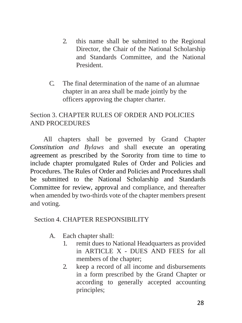- 2. this name shall be submitted to the Regional Director, the Chair of the National Scholarship and Standards Committee, and the National President.
- C. The final determination of the name of an alumnae chapter in an area shall be made jointly by the officers approving the chapter charter.

## Section 3. CHAPTER RULES OF ORDER AND POLICIES AND PROCEDURES

 All chapters shall be governed by Grand Chapter *Constitution and Bylaws* and shall execute an operating agreement as prescribed by the Sorority from time to time to include chapter promulgated Rules of Order and Policies and Procedures. The Rules of Order and Policies and Procedures shall be submitted to the National Scholarship and Standards Committee for review, approval and compliance, and thereafter when amended by two-thirds vote of the chapter members present and voting.

## Section 4. CHAPTER RESPONSIBILITY

- A. Each chapter shall:
	- 1. remit dues to National Headquarters as provided in ARTICLE X - DUES AND FEES for all members of the chapter;
	- 2. keep a record of all income and disbursements in a form prescribed by the Grand Chapter or according to generally accepted accounting principles;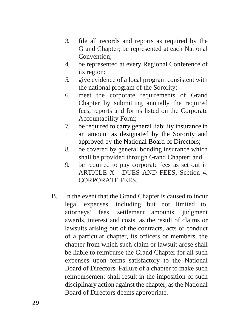- 3. file all records and reports as required by the Grand Chapter; be represented at each National Convention;
- 4. be represented at every Regional Conference of its region;
- 5. give evidence of a local program consistent with the national program of the Sorority;
- 6. meet the corporate requirements of Grand Chapter by submitting annually the required fees, reports and forms listed on the Corporate Accountability Form;
- 7. be required to carry general liability insurance in an amount as designated by the Sorority and approved by the National Board of Directors;
- 8. be covered by general bonding insurance which shall be provided through Grand Chapter; and
- 9. be required to pay corporate fees as set out in ARTICLE X - DUES AND FEES, Section 4. CORPORATE FEES.
- B. In the event that the Grand Chapter is caused to incur legal expenses, including but not limited to, attorneys' fees, settlement amounts, judgment awards, interest and costs, as the result of claims or lawsuits arising out of the contracts, acts or conduct of a particular chapter, its officers or members, the chapter from which such claim or lawsuit arose shall be liable to reimburse the Grand Chapter for all such expenses upon terms satisfactory to the National Board of Directors. Failure of a chapter to make such reimbursement shall result in the imposition of such disciplinary action against the chapter, as the National Board of Directors deems appropriate.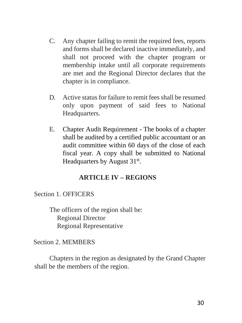- C. Any chapter failing to remit the required fees, reports and forms shall be declared inactive immediately, and shall not proceed with the chapter program or membership intake until all corporate requirements are met and the Regional Director declares that the chapter is in compliance.
- D. Active status for failure to remit fees shall be resumed only upon payment of said fees to National Headquarters.
- E. Chapter Audit Requirement The books of a chapter shall be audited by a certified public accountant or an audit committee within 60 days of the close of each fiscal year. A copy shall be submitted to National Headquarters by August 31<sup>st</sup>.

## **ARTICLE IV – REGIONS**

# Section 1. OFFICERS

The officers of the region shall be: Regional Director Regional Representative

## Section 2. MEMBERS

Chapters in the region as designated by the Grand Chapter shall be the members of the region.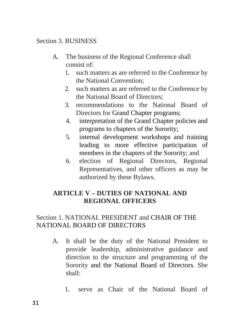## Section 3. BUSINESS

- A. The business of the Regional Conference shall consist of:
	- 1. such matters as are referred to the Conference by the National Convention;
	- 2. such matters as are referred to the Conference by the National Board of Directors;
	- 3. recommendations to the National Board of Directors for Grand Chapter programs;
	- 4. interpretation of the Grand Chapter policies and programs to chapters of the Sorority;
	- 5. internal development workshops and training leading to more effective participation of members in the chapters of the Sorority; and
	- 6. election of Regional Directors, Regional Representatives, and other officers as may be authorized by these Bylaws.

# **ARTICLE V – DUTIES OF NATIONAL AND REGIONAL OFFICERS**

# Section 1. NATIONAL PRESIDENT and CHAIR OF THE NATIONAL BOARD OF DIRECTORS

- A. It shall be the duty of the National President to provide leadership, administrative guidance and direction to the structure and programming of the Sorority and the National Board of Directors. She shall:
	- 1. serve as Chair of the National Board of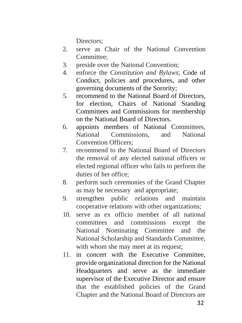Directors:

- 2. serve as Chair of the National Convention Committee:
- 3. preside over the National Convention;
- 4. enforce the *Constitution and Bylaws*; Code of Conduct, policies and procedures, and other governing documents of the Sorority;
- 5. recommend to the National Board of Directors, for election, Chairs of National Standing Committees and Commissions for membership on the National Board of Directors.
- 6. appoints members of National Committees, National Commissions, and National Convention Officers;
- 7. recommend to the National Board of Directors the removal of any elected national officers or elected regional officer who fails to perform the duties of her office;
- 8. perform such ceremonies of the Grand Chapter as may be necessary and appropriate;
- 9. strengthen public relations and maintain cooperative relations with other organizations;
- 10. serve as ex officio member of all national committees and commissions except the National Nominating Committee and the National Scholarship and Standards Committee, with whom she may meet at its request;
- 11. in concert with the Executive Committee, provide organizational direction for the National Headquarters and serve as the immediate supervisor of the Executive Director and ensure that the established policies of the Grand Chapter and the National Board of Directors are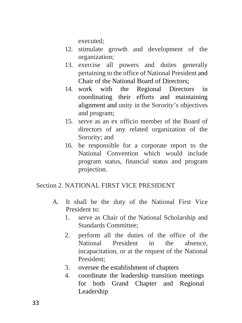executed;

- 12. stimulate growth and development of the organization;
- 13. exercise all powers and duties generally pertaining to the office of National President and Chair of the National Board of Directors;
- 14. work with the Regional Directors in coordinating their efforts and maintaining alignment and unity in the Sorority's objectives and program;
- 15. serve as an ex officio member of the Board of directors of any related organization of the Sorority; and
- 16. be responsible for a corporate report to the National Convention which would include program status, financial status and program projection.

## Section 2. NATIONAL FIRST VICE PRESIDENT

- A. It shall be the duty of the National First Vice President to:
	- 1. serve as Chair of the National Scholarship and Standards Committee;
	- 2. perform all the duties of the office of the National President in the absence, incapacitation, or at the request of the National President;
	- 3. oversee the establishment of chapters
	- 4. coordinate the leadership transition meetings for both Grand Chapter and Regional Leadership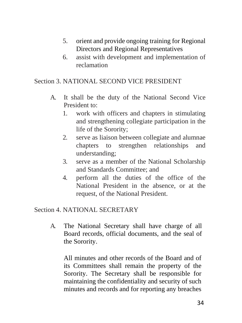- 5. orient and provide ongoing training for Regional Directors and Regional Representatives
- 6. assist with development and implementation of reclamation

## Section 3. NATIONAL SECOND VICE PRESIDENT

- A. It shall be the duty of the National Second Vice President to:
	- 1. work with officers and chapters in stimulating and strengthening collegiate participation in the life of the Sorority;
	- 2. serve as liaison between collegiate and alumnae chapters to strengthen relationships and understanding;
	- 3. serve as a member of the National Scholarship and Standards Committee; and
	- 4. perform all the duties of the office of the National President in the absence, or at the request, of the National President.

## Section 4. NATIONAL SECRETARY

A. The National Secretary shall have charge of all Board records, official documents, and the seal of the Sorority.

All minutes and other records of the Board and of its Committees shall remain the property of the Sorority. The Secretary shall be responsible for maintaining the confidentiality and security of such minutes and records and for reporting any breaches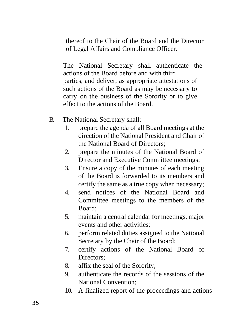thereof to the Chair of the Board and the Director of Legal Affairs and Compliance Officer.

The National Secretary shall authenticate the actions of the Board before and with third parties, and deliver, as appropriate attestations of such actions of the Board as may be necessary to carry on the business of the Sorority or to give effect to the actions of the Board.

- B. The National Secretary shall:
	- 1. prepare the agenda of all Board meetings at the direction of the National President and Chair of the National Board of Directors;
	- 2. prepare the minutes of the National Board of Director and Executive Committee meetings;
	- 3. Ensure a copy of the minutes of each meeting of the Board is forwarded to its members and certify the same as a true copy when necessary;
	- 4. send notices of the National Board and Committee meetings to the members of the Board;
	- 5. maintain a central calendar for meetings, major events and other activities;
	- 6. perform related duties assigned to the National Secretary by the Chair of the Board;
	- 7. certify actions of the National Board of Directors;
	- 8. affix the seal of the Sorority;
	- 9. authenticate the records of the sessions of the National Convention;
	- 10. A finalized report of the proceedings and actions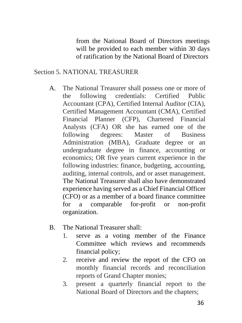from the National Board of Directors meetings will be provided to each member within 30 days of ratification by the National Board of Directors

#### Section 5. NATIONAL TREASURER

- A. The National Treasurer shall possess one or more of the following credentials: Certified Public Accountant (CPA), Certified Internal Auditor (CIA), Certified Management Accountant (CMA), Certified Financial Planner (CFP), Chartered Financial Analysts (CFA) OR she has earned one of the following degrees: Master of Business Administration (MBA), Graduate degree or an undergraduate degree in finance, accounting or economics; OR five years current experience in the following industries: finance, budgeting, accounting, auditing, internal controls, and or asset management. The National Treasurer shall also have demonstrated experience having served as a Chief Financial Officer (CFO) or as a member of a board finance committee for a comparable for-profit or non-profit organization.
- B. The National Treasurer shall:
	- 1. serve as a voting member of the Finance Committee which reviews and recommends financial policy;
	- 2. receive and review the report of the CFO on monthly financial records and reconciliation reports of Grand Chapter monies;
	- 3. present a quarterly financial report to the National Board of Directors and the chapters;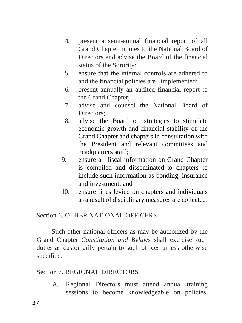- 4. present a semi-annual financial report of all Grand Chapter monies to the National Board of Directors and advise the Board of the financial status of the Sorority;
- 5. ensure that the internal controls are adhered to and the financial policies are implemented;
- 6. present annually an audited financial report to the Grand Chapter;
- 7. advise and counsel the National Board of Directors:
- 8. advise the Board on strategies to stimulate economic growth and financial stability of the Grand Chapter and chapters in consultation with the President and relevant committees and headquarters staff;
- 9. ensure all fiscal information on Grand Chapter is compiled and disseminated to chapters to include such information as bonding, insurance and investment; and
- 10. ensure fines levied on chapters and individuals as a result of disciplinary measures are collected.

## Section 6. OTHER NATIONAL OFFICERS

Such other national officers as may be authorized by the Grand Chapter *Constitution and Bylaws* shall exercise such duties as customarily pertain to such offices unless otherwise specified.

## Section 7. REGIONAL DIRECTORS

A. Regional Directors must attend annual training sessions to become knowledgeable on policies,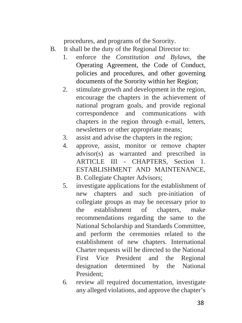procedures, and programs of the Sorority.

- B. It shall be the duty of the Regional Director to:
	- 1. enforce the *Constitution and Bylaws,* the Operating Agreement, the Code of Conduct, policies and procedures, and other governing documents of the Sorority within her Region;
	- 2. stimulate growth and development in the region, encourage the chapters in the achievement of national program goals, and provide regional correspondence and communications with chapters in the region through e-mail, letters, newsletters or other appropriate means;
	- 3. assist and advise the chapters in the region;
	- 4. approve, assist, monitor or remove chapter advisor(s) as warranted and prescribed in ARTICLE III - CHAPTERS, Section 1. ESTABLISHMENT AND MAINTENANCE, B. Collegiate Chapter Advisors;
	- 5. investigate applications for the establishment of new chapters and such pre-initiation of collegiate groups as may be necessary prior to the establishment of chapters, make recommendations regarding the same to the National Scholarship and Standards Committee, and perform the ceremonies related to the establishment of new chapters. International Charter requests will be directed to the National First Vice President and the Regional designation determined by the National President;
	- 6. review all required documentation, investigate any alleged violations, and approve the chapter's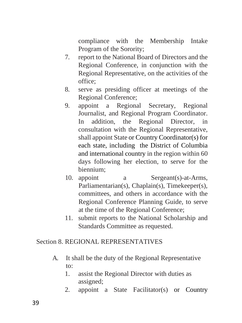compliance with the Membership Intake Program of the Sorority;

- 7. report to the National Board of Directors and the Regional Conference, in conjunction with the Regional Representative, on the activities of the office;
- 8. serve as presiding officer at meetings of the Regional Conference;
- 9. appoint a Regional Secretary, Regional Journalist, and Regional Program Coordinator. In addition, the Regional Director, in consultation with the Regional Representative, shall appoint State or Country Coordinator(s) for each state, including the District of Columbia and international country in the region within 60 days following her election, to serve for the biennium;
- 10. appoint a Sergeant(s)-at-Arms, Parliamentarian(s), Chaplain(s), Timekeeper(s), committees, and others in accordance with the Regional Conference Planning Guide, to serve at the time of the Regional Conference;
- 11. submit reports to the National Scholarship and Standards Committee as requested.

## Section 8. REGIONAL REPRESENTATIVES

- A. It shall be the duty of the Regional Representative to:
	- 1. assist the Regional Director with duties as assigned;
	- 2. appoint a State Facilitator(s) or Country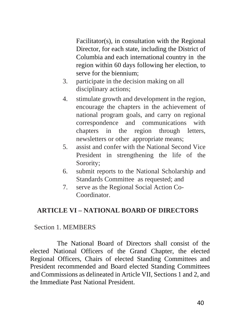Facilitator(s), in consultation with the Regional Director, for each state, including the District of Columbia and each international country in the region within 60 days following her election, to serve for the biennium;

- 3. participate in the decision making on all disciplinary actions;
- 4. stimulate growth and development in the region, encourage the chapters in the achievement of national program goals, and carry on regional correspondence and communications with chapters in the region through letters, newsletters or other appropriate means;
- 5. assist and confer with the National Second Vice President in strengthening the life of the Sorority;
- 6. submit reports to the National Scholarship and Standards Committee as requested; and
- 7. serve as the Regional Social Action Co-Coordinator.

## **ARTICLE VI – NATIONAL BOARD OF DIRECTORS**

## Section 1. MEMBERS

The National Board of Directors shall consist of the elected National Officers of the Grand Chapter, the elected Regional Officers, Chairs of elected Standing Committees and President recommended and Board elected Standing Committees and Commissions as delineated in Article VII, Sections 1 and 2, and the Immediate Past National President.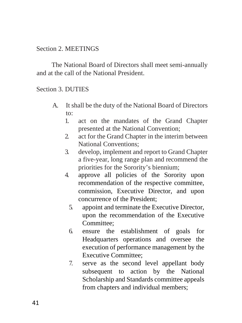## Section 2. MEETINGS

The National Board of Directors shall meet semi-annually and at the call of the National President.

## Section 3. DUTIES

- A. It shall be the duty of the National Board of Directors to:
	- 1. act on the mandates of the Grand Chapter presented at the National Convention;
	- 2. act for the Grand Chapter in the interim between National Conventions;
	- 3. develop, implement and report to Grand Chapter a five-year, long range plan and recommend the priorities for the Sorority's biennium;
	- 4. approve all policies of the Sorority upon recommendation of the respective committee, commission, Executive Director, and upon concurrence of the President;
		- 5. appoint and terminate the Executive Director, upon the recommendation of the Executive Committee;
		- 6. ensure the establishment of goals for Headquarters operations and oversee the execution of performance management by the Executive Committee;
		- 7. serve as the second level appellant body subsequent to action by the National Scholarship and Standards committee appeals from chapters and individual members;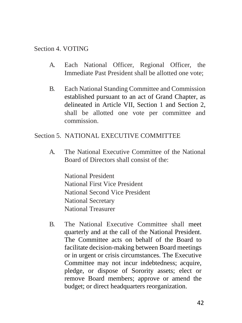#### Section 4. VOTING

- A. Each National Officer, Regional Officer, the Immediate Past President shall be allotted one vote;
- B. Each National Standing Committee and Commission established pursuant to an act of Grand Chapter, as delineated in Article VII, Section 1 and Section 2, shall be allotted one vote per committee and commission.

#### Section 5. NATIONAL EXECUTIVE COMMITTEE

A. The National Executive Committee of the National Board of Directors shall consist of the:

National President National First Vice President National Second Vice President National Secretary National Treasurer

B. The National Executive Committee shall meet quarterly and at the call of the National President. The Committee acts on behalf of the Board to facilitate decision-making between Board meetings or in urgent or crisis circumstances. The Executive Committee may not incur indebtedness; acquire, pledge, or dispose of Sorority assets; elect or remove Board members; approve or amend the budget; or direct headquarters reorganization.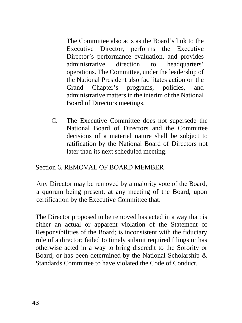The Committee also acts as the Board's link to the Executive Director, performs the Executive Director's performance evaluation, and provides administrative direction to headquarters' operations. The Committee, under the leadership of the National President also facilitates action on the Grand Chapter's programs, policies, and administrative matters in the interim of the National Board of Directors meetings.

C. The Executive Committee does not supersede the National Board of Directors and the Committee decisions of a material nature shall be subject to ratification by the National Board of Directors not later than its next scheduled meeting.

## Section 6. REMOVAL OF BOARD MEMBER

Any Director may be removed by a majority vote of the Board, a quorum being present, at any meeting of the Board, upon certification by the Executive Committee that:

The Director proposed to be removed has acted in a way that: is either an actual or apparent violation of the Statement of Responsibilities of the Board; is inconsistent with the fiduciary role of a director; failed to timely submit required filings or has otherwise acted in a way to bring discredit to the Sorority or Board; or has been determined by the National Scholarship & Standards Committee to have violated the Code of Conduct.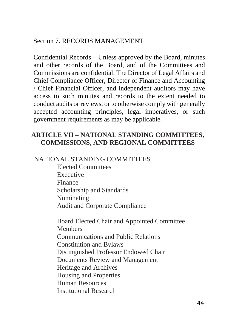## Section 7. RECORDS MANAGEMENT

Confidential Records – Unless approved by the Board, minutes and other records of the Board, and of the Committees and Commissions are confidential. The Director of Legal Affairs and Chief Compliance Officer, Director of Finance and Accounting / Chief Financial Officer, and independent auditors may have access to such minutes and records to the extent needed to conduct audits or reviews, or to otherwise comply with generally accepted accounting principles, legal imperatives, or such government requirements as may be applicable.

# **ARTICLE VII – NATIONAL STANDING COMMITTEES, COMMISSIONS, AND REGIONAL COMMITTEES**

# NATIONAL STANDING COMMITTEES

Elected Committees Executive Finance Scholarship and Standards Nominating Audit and Corporate Compliance

Board Elected Chair and Appointed Committee Members Communications and Public Relations Constitution and Bylaws Distinguished Professor Endowed Chair Documents Review and Management Heritage and Archives Housing and Properties Human Resources Institutional Research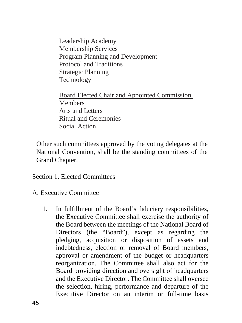Leadership Academy Membership Services Program Planning and Development Protocol and Traditions Strategic Planning Technology

Board Elected Chair and Appointed Commission Members Arts and Letters Ritual and Ceremonies Social Action

Other such committees approved by the voting delegates at the National Convention, shall be the standing committees of the Grand Chapter.

Section 1. Elected Committees

- A. Executive Committee
	- 1. In fulfillment of the Board's fiduciary responsibilities, the Executive Committee shall exercise the authority of the Board between the meetings of the National Board of Directors (the "Board"), except as regarding the pledging, acquisition or disposition of assets and indebtedness, election or removal of Board members, approval or amendment of the budget or headquarters reorganization. The Committee shall also act for the Board providing direction and oversight of headquarters and the Executive Director. The Committee shall oversee the selection, hiring, performance and departure of the Executive Director on an interim or full-time basis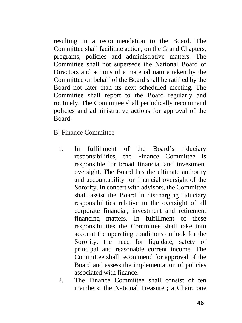resulting in a recommendation to the Board. The Committee shall facilitate action, on the Grand Chapters, programs, policies and administrative matters. The Committee shall not supersede the National Board of Directors and actions of a material nature taken by the Committee on behalf of the Board shall be ratified by the Board not later than its next scheduled meeting. The Committee shall report to the Board regularly and routinely. The Committee shall periodically recommend policies and administrative actions for approval of the Board.

B. Finance Committee

- 1. In fulfillment of the Board's fiduciary responsibilities, the Finance Committee is responsible for broad financial and investment oversight. The Board has the ultimate authority and accountability for financial oversight of the Sorority. In concert with advisors, the Committee shall assist the Board in discharging fiduciary responsibilities relative to the oversight of all corporate financial, investment and retirement financing matters. In fulfillment of these responsibilities the Committee shall take into account the operating conditions outlook for the Sorority, the need for liquidate, safety of principal and reasonable current income. The Committee shall recommend for approval of the Board and assess the implementation of policies associated with finance.
- 2. The Finance Committee shall consist of ten members: the National Treasurer; a Chair; one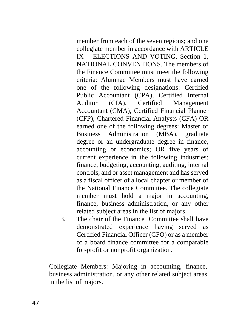member from each of the seven regions; and one collegiate member in accordance with ARTICLE IX – ELECTIONS AND VOTING, Section 1, NATIONAL CONVENTIONS. The members of the Finance Committee must meet the following criteria: Alumnae Members must have earned one of the following designations: Certified Public Accountant (CPA), Certified Internal Auditor (CIA), Certified Management Accountant (CMA), Certified Financial Planner (CFP), Chartered Financial Analysts (CFA) OR earned one of the following degrees: Master of Business Administration (MBA), graduate degree or an undergraduate degree in finance, accounting or economics; OR five years of current experience in the following industries: finance, budgeting, accounting, auditing, internal controls, and or asset management and has served as a fiscal officer of a local chapter or member of the National Finance Committee. The collegiate member must hold a major in accounting, finance, business administration, or any other related subject areas in the list of majors.

3. The chair of the Finance Committee shall have demonstrated experience having served as Certified Financial Officer (CFO) or as a member of a board finance committee for a comparable for-profit or nonprofit organization.

Collegiate Members: Majoring in accounting, finance, business administration, or any other related subject areas in the list of majors.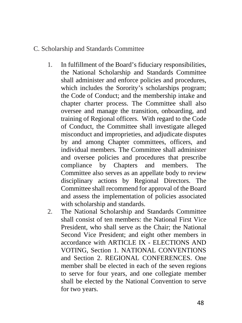## C. Scholarship and Standards Committee

- 1. In fulfillment of the Board's fiduciary responsibilities, the National Scholarship and Standards Committee shall administer and enforce policies and procedures, which includes the Sorority's scholarships program; the Code of Conduct; and the membership intake and chapter charter process. The Committee shall also oversee and manage the transition, onboarding, and training of Regional officers. With regard to the Code of Conduct, the Committee shall investigate alleged misconduct and improprieties, and adjudicate disputes by and among Chapter committees, officers, and individual members. The Committee shall administer and oversee policies and procedures that prescribe compliance by Chapters and members. The Committee also serves as an appellate body to review disciplinary actions by Regional Directors. The Committee shall recommend for approval of the Board and assess the implementation of policies associated with scholarship and standards.
- 2. The National Scholarship and Standards Committee shall consist of ten members: the National First Vice President, who shall serve as the Chair; the National Second Vice President; and eight other members in accordance with ARTICLE IX - ELECTIONS AND VOTING, Section 1. NATIONAL CONVENTIONS and Section 2. REGIONAL CONFERENCES. One member shall be elected in each of the seven regions to serve for four years, and one collegiate member shall be elected by the National Convention to serve for two years.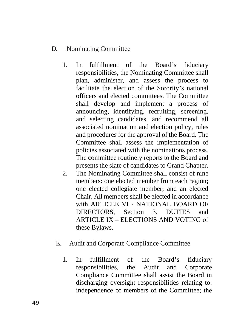## D. Nominating Committee

- 1. In fulfillment of the Board's fiduciary responsibilities, the Nominating Committee shall plan, administer, and assess the process to facilitate the election of the Sorority's national officers and elected committees. The Committee shall develop and implement a process of announcing, identifying, recruiting, screening, and selecting candidates, and recommend all associated nomination and election policy, rules and procedures for the approval of the Board. The Committee shall assess the implementation of policies associated with the nominations process. The committee routinely reports to the Board and presents the slate of candidates to Grand Chapter.
- 2. The Nominating Committee shall consist of nine members: one elected member from each region; one elected collegiate member; and an elected Chair. All members shall be elected in accordance with ARTICLE VI - NATIONAL BOARD OF DIRECTORS, Section 3. DUTIES and ARTICLE IX – ELECTIONS AND VOTING of these Bylaws.
- E. Audit and Corporate Compliance Committee
	- 1. In fulfillment of the Board's fiduciary responsibilities, the Audit and Corporate Compliance Committee shall assist the Board in discharging oversight responsibilities relating to: independence of members of the Committee; the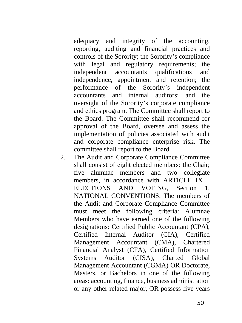adequacy and integrity of the accounting, reporting, auditing and financial practices and controls of the Sorority; the Sorority's compliance with legal and regulatory requirements; the independent accountants qualifications and independence, appointment and retention; the performance of the Sorority's independent accountants and internal auditors; and the oversight of the Sorority's corporate compliance and ethics program. The Committee shall report to the Board. The Committee shall recommend for approval of the Board, oversee and assess the implementation of policies associated with audit and corporate compliance enterprise risk. The committee shall report to the Board.

2. The Audit and Corporate Compliance Committee shall consist of eight elected members: the Chair; five alumnae members and two collegiate members, in accordance with ARTICLE IX  $=$ ELECTIONS AND VOTING, Section 1, NATIONAL CONVENTIONS. The members of the Audit and Corporate Compliance Committee must meet the following criteria: Alumnae Members who have earned one of the following designations: Certified Public Accountant (CPA), Certified Internal Auditor (CIA), Certified Management Accountant (CMA), Chartered Financial Analyst (CFA), Certified Information Systems Auditor (CISA), Charted Global Management Accountant (CGMA) OR Doctorate, Masters, or Bachelors in one of the following areas: accounting, finance, business administration or any other related major, OR possess five years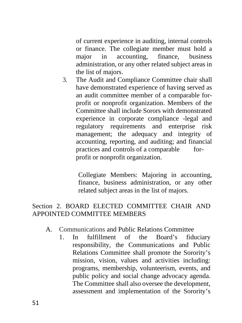of current experience in auditing, internal controls or finance. The collegiate member must hold a major in accounting, finance, business administration, or any other related subject areas in the list of majors.

3. The Audit and Compliance Committee chair shall have demonstrated experience of having served as an audit committee member of a comparable forprofit or nonprofit organization. Members of the Committee shall include Sorors with demonstrated experience in corporate compliance -legal and regulatory requirements and enterprise risk management; the adequacy and integrity of accounting, reporting, and auditing; and financial practices and controls of a comparable forprofit or nonprofit organization.

> Collegiate Members: Majoring in accounting, finance, business administration, or any other related subject areas in the list of majors.

# Section 2. BOARD ELECTED COMMITTEE CHAIR AND APPOINTED COMMITTEE MEMBERS

# A. Communications and Public Relations Committee

1. In fulfillment of the Board's fiduciary responsibility, the Communications and Public Relations Committee shall promote the Sorority's mission, vision, values and activities including: programs, membership, volunteerism, events, and public policy and social change advocacy agenda. The Committee shall also oversee the development, assessment and implementation of the Sorority's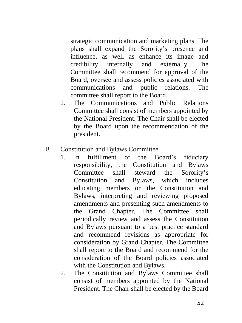strategic communication and marketing plans. The plans shall expand the Sorority's presence and influence, as well as enhance its image and credibility internally and externally. The Committee shall recommend for approval of the Board, oversee and assess policies associated with communications and public relations. The committee shall report to the Board.

- 2. The Communications and Public Relations Committee shall consist of members appointed by the National President. The Chair shall be elected by the Board upon the recommendation of the president.
- B. Constitution and Bylaws Committee
	- 1. In fulfillment of the Board's fiduciary responsibility, the Constitution and Bylaws Committee shall steward the Sorority's Constitution and Bylaws, which includes educating members on the Constitution and Bylaws, interpreting and reviewing proposed amendments and presenting such amendments to the Grand Chapter. The Committee shall periodically review and assess the Constitution and Bylaws pursuant to a best practice standard and recommend revisions as appropriate for consideration by Grand Chapter. The Committee shall report to the Board and recommend for the consideration of the Board policies associated with the Constitution and Bylaws.
	- 2. The Constitution and Bylaws Committee shall consist of members appointed by the National President. The Chair shall be elected by the Board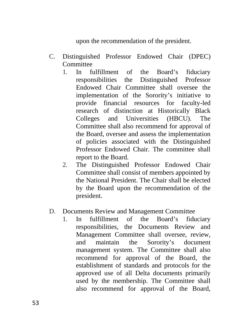upon the recommendation of the president.

- C. Distinguished Professor Endowed Chair (DPEC) Committee
	- 1. In fulfillment of the Board's fiduciary responsibilities the Distinguished Professor Endowed Chair Committee shall oversee the implementation of the Sorority's initiative to provide financial resources for faculty-led research of distinction at Historically Black Colleges and Universities (HBCU). The Committee shall also recommend for approval of the Board, oversee and assess the implementation of policies associated with the Distinguished Professor Endowed Chair. The committee shall report to the Board.
	- 2. The Distinguished Professor Endowed Chair Committee shall consist of members appointed by the National President. The Chair shall be elected by the Board upon the recommendation of the president.
- D. Documents Review and Management Committee
	- 1. In fulfillment of the Board's fiduciary responsibilities, the Documents Review and Management Committee shall oversee, review, and maintain the Sorority's document management system. The Committee shall also recommend for approval of the Board, the establishment of standards and protocols for the approved use of all Delta documents primarily used by the membership. The Committee shall also recommend for approval of the Board,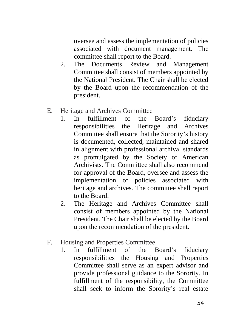oversee and assess the implementation of policies associated with document management. The committee shall report to the Board.

- 2. The Documents Review and Management Committee shall consist of members appointed by the National President. The Chair shall be elected by the Board upon the recommendation of the president.
- E. Heritage and Archives Committee
	- 1. In fulfillment of the Board's fiduciary responsibilities the Heritage and Archives Committee shall ensure that the Sorority's history is documented, collected, maintained and shared in alignment with professional archival standards as promulgated by the Society of American Archivists. The Committee shall also recommend for approval of the Board, oversee and assess the implementation of policies associated with heritage and archives. The committee shall report to the Board.
	- 2. The Heritage and Archives Committee shall consist of members appointed by the National President. The Chair shall be elected by the Board upon the recommendation of the president.
- F. Housing and Properties Committee
	- 1. In fulfillment of the Board's fiduciary responsibilities the Housing and Properties Committee shall serve as an expert advisor and provide professional guidance to the Sorority. In fulfillment of the responsibility, the Committee shall seek to inform the Sorority's real estate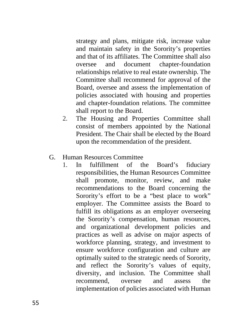strategy and plans, mitigate risk, increase value and maintain safety in the Sorority's properties and that of its affiliates. The Committee shall also oversee and document chapter-foundation relationships relative to real estate ownership. The Committee shall recommend for approval of the Board, oversee and assess the implementation of policies associated with housing and properties and chapter-foundation relations. The committee shall report to the Board.

2. The Housing and Properties Committee shall consist of members appointed by the National President. The Chair shall be elected by the Board upon the recommendation of the president.

## G. Human Resources Committee

1. In fulfillment of the Board's fiduciary responsibilities, the Human Resources Committee shall promote, monitor, review, and make recommendations to the Board concerning the Sorority's effort to be a "best place to work" employer. The Committee assists the Board to fulfill its obligations as an employer overseeing the Sorority's compensation, human resources, and organizational development policies and practices as well as advise on major aspects of workforce planning, strategy, and investment to ensure workforce configuration and culture are optimally suited to the strategic needs of Sorority, and reflect the Sorority's values of equity, diversity, and inclusion. The Committee shall recommend, oversee and assess the implementation of policies associated with Human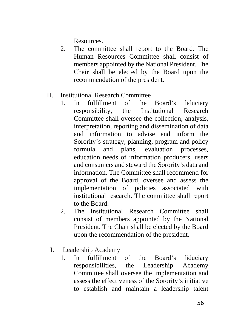Resources.

- 2. The committee shall report to the Board. The Human Resources Committee shall consist of members appointed by the National President. The Chair shall be elected by the Board upon the recommendation of the president.
- H. Institutional Research Committee
	- 1. In fulfillment of the Board's fiduciary responsibility, the Institutional Research Committee shall oversee the collection, analysis, interpretation, reporting and dissemination of data and information to advise and inform the Sorority's strategy, planning, program and policy formula and plans, evaluation processes, education needs of information producers, users and consumers and steward the Sorority's data and information. The Committee shall recommend for approval of the Board, oversee and assess the implementation of policies associated with institutional research. The committee shall report to the Board.
	- 2. The Institutional Research Committee shall consist of members appointed by the National President. The Chair shall be elected by the Board upon the recommendation of the president.
	- I. Leadership Academy
		- 1. In fulfillment of the Board's fiduciary responsibilities, the Leadership Academy Committee shall oversee the implementation and assess the effectiveness of the Sorority's initiative to establish and maintain a leadership talent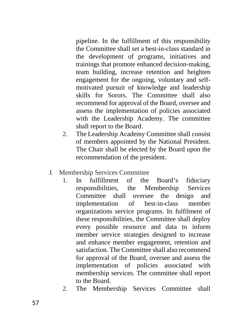pipeline. In the fulfillment of this responsibility the Committee shall set a best-in-class standard in the development of programs, initiatives and trainings that promote enhanced decision-making, team building, increase retention and heighten engagement for the ongoing, voluntary and selfmotivated pursuit of knowledge and leadership skills for Sorors. The Committee shall also recommend for approval of the Board, oversee and assess the implementation of policies associated with the Leadership Academy. The committee shall report to the Board.

- 2. The Leadership Academy Committee shall consist of members appointed by the National President. The Chair shall be elected by the Board upon the recommendation of the president.
- J. Membership Services Committee
	- 1. In fulfillment of the Board's fiduciary responsibilities, the Membership Services Committee shall oversee the design and implementation of best-in-class member organizations service programs. In fulfilment of these responsibilities, the Committee shall deploy every possible resource and data to inform member service strategies designed to increase and enhance member engagement, retention and satisfaction. The Committee shall also recommend for approval of the Board, oversee and assess the implementation of policies associated with membership services. The committee shall report to the Board.
	- 2. The Membership Services Committee shall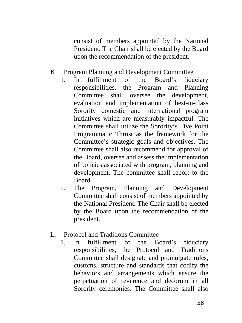consist of members appointed by the National President. The Chair shall be elected by the Board upon the recommendation of the president.

- K. Program Planning and Development Committee
	- 1. In fulfillment of the Board's fiduciary responsibilities, the Program and Planning Committee shall oversee the development, evaluation and implementation of best-in-class Sorority domestic and international program initiatives which are measurably impactful. The Committee shall utilize the Sorority's Five Point Programmatic Thrust as the framework for the Committee's strategic goals and objectives. The Committee shall also recommend for approval of the Board, oversee and assess the implementation of policies associated with program, planning and development. The committee shall report to the Board.
	- 2. The Program, Planning and Development Committee shall consist of members appointed by the National President. The Chair shall be elected by the Board upon the recommendation of the president.
- L. Protocol and Traditions Committee
	- 1. In fulfillment of the Board's fiduciary responsibilities, the Protocol and Traditions Committee shall designate and promulgate rules, customs, structure and standards that codify the behaviors and arrangements which ensure the perpetuation of reverence and decorum in all Sorority ceremonies. The Committee shall also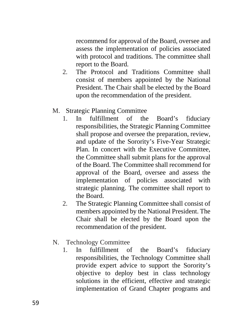recommend for approval of the Board, oversee and assess the implementation of policies associated with protocol and traditions. The committee shall report to the Board.

- 2. The Protocol and Traditions Committee shall consist of members appointed by the National President. The Chair shall be elected by the Board upon the recommendation of the president.
- M. Strategic Planning Committee
	- 1. In fulfillment of the Board's fiduciary responsibilities, the Strategic Planning Committee shall propose and oversee the preparation, review, and update of the Sorority's Five-Year Strategic Plan. In concert with the Executive Committee, the Committee shall submit plans for the approval of the Board. The Committee shall recommend for approval of the Board, oversee and assess the implementation of policies associated with strategic planning. The committee shall report to the Board.
	- 2. The Strategic Planning Committee shall consist of members appointed by the National President. The Chair shall be elected by the Board upon the recommendation of the president.
- N. Technology Committee
	- 1. In fulfillment of the Board's fiduciary responsibilities, the Technology Committee shall provide expert advice to support the Sorority's objective to deploy best in class technology solutions in the efficient, effective and strategic implementation of Grand Chapter programs and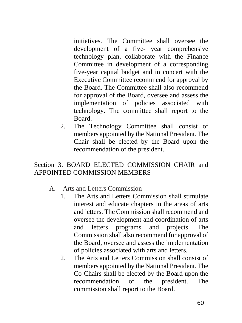initiatives. The Committee shall oversee the development of a five- year comprehensive technology plan, collaborate with the Finance Committee in development of a corresponding five-year capital budget and in concert with the Executive Committee recommend for approval by the Board. The Committee shall also recommend for approval of the Board, oversee and assess the implementation of policies associated with technology. The committee shall report to the Board.

2. The Technology Committee shall consist of members appointed by the National President. The Chair shall be elected by the Board upon the recommendation of the president.

# Section 3. BOARD ELECTED COMMISSION CHAIR and APPOINTED COMMISSION MEMBERS

- A. Arts and Letters Commission
	- 1. The Arts and Letters Commission shall stimulate interest and educate chapters in the areas of arts and letters. The Commission shall recommend and oversee the development and coordination of arts and letters programs and projects. The Commission shall also recommend for approval of the Board, oversee and assess the implementation of policies associated with arts and letters.
	- 2. The Arts and Letters Commission shall consist of members appointed by the National President. The Co-Chairs shall be elected by the Board upon the recommendation of the president. The commission shall report to the Board.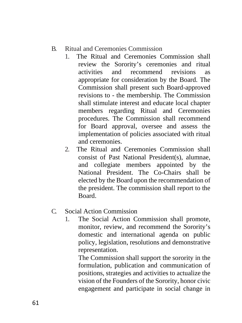- B. Ritual and Ceremonies Commission
	- 1. The Ritual and Ceremonies Commission shall review the Sorority's ceremonies and ritual activities and recommend revisions as appropriate for consideration by the Board. The Commission shall present such Board-approved revisions to - the membership. The Commission shall stimulate interest and educate local chapter members regarding Ritual and Ceremonies procedures. The Commission shall recommend for Board approval, oversee and assess the implementation of policies associated with ritual and ceremonies.
	- 2. The Ritual and Ceremonies Commission shall consist of Past National President(s), alumnae, and collegiate members appointed by the National President. The Co-Chairs shall be elected by the Board upon the recommendation of the president. The commission shall report to the Board.
- C. Social Action Commission
	- 1. The Social Action Commission shall promote, monitor, review, and recommend the Sorority's domestic and international agenda on public policy, legislation, resolutions and demonstrative representation.

The Commission shall support the sorority in the formulation, publication and communication of positions, strategies and activities to actualize the vision of the Founders of the Sorority, honor civic engagement and participate in social change in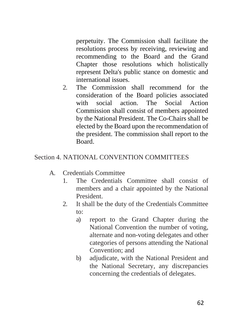perpetuity. The Commission shall facilitate the resolutions process by receiving, reviewing and recommending to the Board and the Grand Chapter those resolutions which holistically represent Delta's public stance on domestic and international issues.

2. The Commission shall recommend for the consideration of the Board policies associated with social action. The Social Action Commission shall consist of members appointed by the National President. The Co-Chairs shall be elected by the Board upon the recommendation of the president. The commission shall report to the Board.

## Section 4. NATIONAL CONVENTION COMMITTEES

- A. Credentials Committee
	- 1. The Credentials Committee shall consist of members and a chair appointed by the National President.
	- 2. It shall be the duty of the Credentials Committee to:
		- a) report to the Grand Chapter during the National Convention the number of voting, alternate and non-voting delegates and other categories of persons attending the National Convention; and
		- b) adjudicate, with the National President and the National Secretary, any discrepancies concerning the credentials of delegates.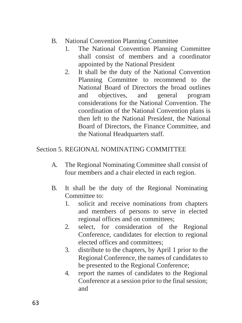- B. National Convention Planning Committee
	- 1. The National Convention Planning Committee shall consist of members and a coordinator appointed by the National President
	- 2. It shall be the duty of the National Convention Planning Committee to recommend to the National Board of Directors the broad outlines and objectives, and general program considerations for the National Convention. The coordination of the National Convention plans is then left to the National President, the National Board of Directors, the Finance Committee, and the National Headquarters staff.

## Section 5. REGIONAL NOMINATING COMMITTEE

- A. The Regional Nominating Committee shall consist of four members and a chair elected in each region.
- B. It shall be the duty of the Regional Nominating Committee to:
	- 1. solicit and receive nominations from chapters and members of persons to serve in elected regional offices and on committees;
	- 2. select, for consideration of the Regional Conference, candidates for election to regional elected offices and committees;
	- 3. distribute to the chapters, by April 1 prior to the Regional Conference, the names of candidates to be presented to the Regional Conference;
	- 4. report the names of candidates to the Regional Conference at a session prior to the final session; and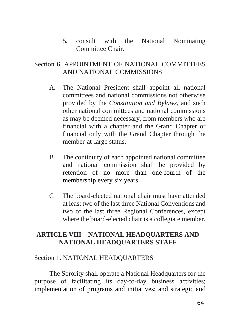5. consult with the National Nominating Committee Chair.

## Section 6. APPOINTMENT OF NATIONAL COMMITTEES AND NATIONAL COMMISSIONS

- A. The National President shall appoint all national committees and national commissions not otherwise provided by the *Constitution and Bylaws*, and such other national committees and national commissions as may be deemed necessary, from members who are financial with a chapter and the Grand Chapter or financial only with the Grand Chapter through the member-at-large status.
- B. The continuity of each appointed national committee and national commission shall be provided by retention of no more than one-fourth of the membership every six years.
- C. The board-elected national chair must have attended at least two of the last three National Conventions and two of the last three Regional Conferences, except where the board-elected chair is a collegiate member.

# **ARTICLE VIII – NATIONAL HEADQUARTERS AND NATIONAL HEADQUARTERS STAFF**

## Section 1. NATIONAL HEADQUARTERS

The Sorority shall operate a National Headquarters for the purpose of facilitating its day-to-day business activities; implementation of programs and initiatives; and strategic and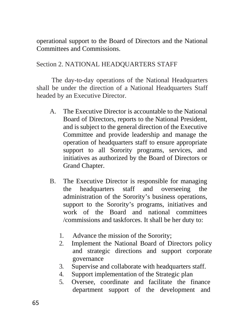operational support to the Board of Directors and the National Committees and Commissions.

### Section 2. NATIONAL HEADQUARTERS STAFF

The day-to-day operations of the National Headquarters shall be under the direction of a National Headquarters Staff headed by an Executive Director.

- A. The Executive Director is accountable to the National Board of Directors, reports to the National President, and is subject to the general direction of the Executive Committee and provide leadership and manage the operation of headquarters staff to ensure appropriate support to all Sorority programs, services, and initiatives as authorized by the Board of Directors or Grand Chapter.
- B. The Executive Director is responsible for managing the headquarters staff and overseeing the administration of the Sorority's business operations, support to the Sorority's programs, initiatives and work of the Board and national committees /commissions and taskforces. It shall be her duty to:
	- 1. Advance the mission of the Sorority;
	- 2. Implement the National Board of Directors policy and strategic directions and support corporate governance
	- 3. Supervise and collaborate with headquarters staff.
	- 4. Support implementation of the Strategic plan
	- 5. Oversee, coordinate and facilitate the finance department support of the development and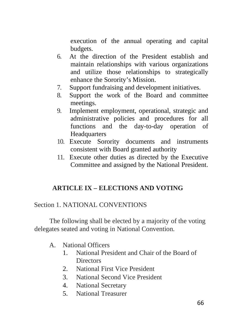execution of the annual operating and capital budgets.

- 6. At the direction of the President establish and maintain relationships with various organizations and utilize those relationships to strategically enhance the Sorority's Mission.
- 7. Support fundraising and development initiatives.
- 8. Support the work of the Board and committee meetings.
- 9. Implement employment, operational, strategic and administrative policies and procedures for all functions and the day-to-day operation of **Headquarters**
- 10. Execute Sorority documents and instruments consistent with Board granted authority
- 11. Execute other duties as directed by the Executive Committee and assigned by the National President.

# **ARTICLE IX – ELECTIONS AND VOTING**

## Section 1. NATIONAL CONVENTIONS

The following shall be elected by a majority of the voting delegates seated and voting in National Convention.

## A. National Officers

- 1. National President and Chair of the Board of **Directors**
- 2. National First Vice President
- 3. National Second Vice President
- 4. National Secretary
- 5. National Treasurer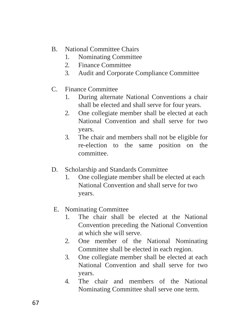- B. National Committee Chairs
	- 1. Nominating Committee
	- 2. Finance Committee
	- 3. Audit and Corporate Compliance Committee
- C. Finance Committee
	- 1. During alternate National Conventions a chair shall be elected and shall serve for four years.
	- 2. One collegiate member shall be elected at each National Convention and shall serve for two years.
	- 3. The chair and members shall not be eligible for re-election to the same position on the committee.
- D. Scholarship and Standards Committee
	- 1. One collegiate member shall be elected at each National Convention and shall serve for two years.
- E. Nominating Committee
	- 1. The chair shall be elected at the National Convention preceding the National Convention at which she will serve.
	- 2. One member of the National Nominating Committee shall be elected in each region.
	- 3. One collegiate member shall be elected at each National Convention and shall serve for two years.
	- 4. The chair and members of the National Nominating Committee shall serve one term.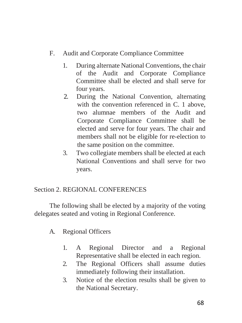## F. Audit and Corporate Compliance Committee

- 1. During alternate National Conventions, the chair of the Audit and Corporate Compliance Committee shall be elected and shall serve for four years.
- 2. During the National Convention, alternating with the convention referenced in C. 1 above, two alumnae members of the Audit and Corporate Compliance Committee shall be elected and serve for four years. The chair and members shall not be eligible for re-election to the same position on the committee.
- 3. Two collegiate members shall be elected at each National Conventions and shall serve for two years.

## Section 2. REGIONAL CONFERENCES

The following shall be elected by a majority of the voting delegates seated and voting in Regional Conference.

# A. Regional Officers

- 1. A Regional Director and a Regional Representative shall be elected in each region.
- 2. The Regional Officers shall assume duties immediately following their installation.
- 3. Notice of the election results shall be given to the National Secretary.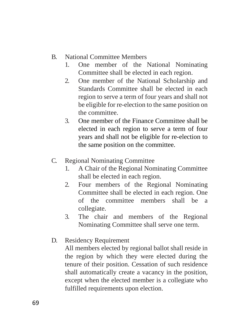- B. National Committee Members
	- 1. One member of the National Nominating Committee shall be elected in each region.
	- 2. One member of the National Scholarship and Standards Committee shall be elected in each region to serve a term of four years and shall not be eligible for re-election to the same position on the committee.
	- 3. One member of the Finance Committee shall be elected in each region to serve a term of four years and shall not be eligible for re-election to the same position on the committee.
- C. Regional Nominating Committee
	- 1. A Chair of the Regional Nominating Committee shall be elected in each region.
	- 2. Four members of the Regional Nominating Committee shall be elected in each region. One of the committee members shall be a collegiate.
	- 3. The chair and members of the Regional Nominating Committee shall serve one term.
- D. Residency Requirement

All members elected by regional ballot shall reside in the region by which they were elected during the tenure of their position. Cessation of such residence shall automatically create a vacancy in the position, except when the elected member is a collegiate who fulfilled requirements upon election.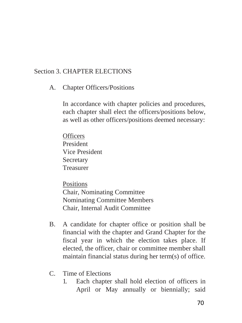### Section 3. CHAPTER ELECTIONS

A. Chapter Officers/Positions

In accordance with chapter policies and procedures, each chapter shall elect the officers/positions below, as well as other officers/positions deemed necessary:

**Officers** President Vice President **Secretary** Treasurer

Positions Chair, Nominating Committee Nominating Committee Members Chair, Internal Audit Committee

- B. A candidate for chapter office or position shall be financial with the chapter and Grand Chapter for the fiscal year in which the election takes place. If elected, the officer, chair or committee member shall maintain financial status during her term(s) of office.
- C. Time of Elections
	- 1. Each chapter shall hold election of officers in April or May annually or biennially; said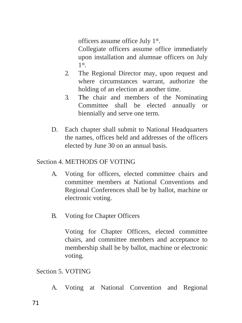officers assume office July 1<sup>st</sup>.

Collegiate officers assume office immediately upon installation and alumnae officers on July 1 st .

- 2. The Regional Director may, upon request and where circumstances warrant, authorize the holding of an election at another time.
- 3. The chair and members of the Nominating Committee shall be elected annually or biennially and serve one term.
- D. Each chapter shall submit to National Headquarters the names, offices held and addresses of the officers elected by June 30 on an annual basis.

# Section 4. METHODS OF VOTING

- A. Voting for officers, elected committee chairs and committee members at National Conventions and Regional Conferences shall be by ballot, machine or electronic voting.
- B. Voting for Chapter Officers

Voting for Chapter Officers, elected committee chairs, and committee members and acceptance to membership shall be by ballot, machine or electronic voting.

Section 5. VOTING

A. Voting at National Convention and Regional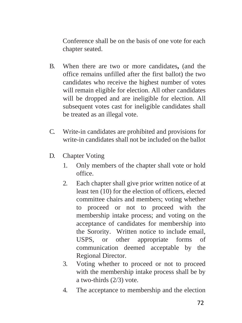Conference shall be on the basis of one vote for each chapter seated.

- B. When there are two or more candidates**,** (and the office remains unfilled after the first ballot) the two candidates who receive the highest number of votes will remain eligible for election. All other candidates will be dropped and are ineligible for election. All subsequent votes cast for ineligible candidates shall be treated as an illegal vote.
- C. Write-in candidates are prohibited and provisions for write-in candidates shall not be included on the ballot
- D. Chapter Voting
	- 1. Only members of the chapter shall vote or hold office.
	- 2. Each chapter shall give prior written notice of at least ten (10) for the election of officers, elected committee chairs and members; voting whether to proceed or not to proceed with the membership intake process; and voting on the acceptance of candidates for membership into the Sorority. Written notice to include email, USPS, or other appropriate forms of communication deemed acceptable by the Regional Director.
	- 3. Voting whether to proceed or not to proceed with the membership intake process shall be by a two-thirds (2/3) vote.
	- 4. The acceptance to membership and the election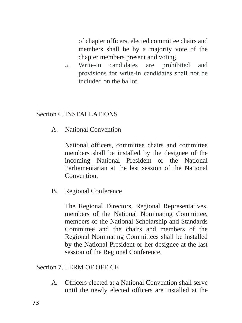of chapter officers, elected committee chairs and members shall be by a majority vote of the chapter members present and voting.

5. Write-in candidates are prohibited and provisions for write-in candidates shall not be included on the ballot.

### Section 6. INSTALLATIONS

A. National Convention

National officers, committee chairs and committee members shall be installed by the designee of the incoming National President or the National Parliamentarian at the last session of the National Convention.

B. Regional Conference

The Regional Directors, Regional Representatives, members of the National Nominating Committee, members of the National Scholarship and Standards Committee and the chairs and members of the Regional Nominating Committees shall be installed by the National President or her designee at the last session of the Regional Conference.

Section 7. TERM OF OFFICE

A. Officers elected at a National Convention shall serve until the newly elected officers are installed at the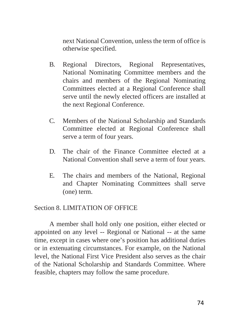next National Convention, unless the term of office is otherwise specified.

- B. Regional Directors, Regional Representatives, National Nominating Committee members and the chairs and members of the Regional Nominating Committees elected at a Regional Conference shall serve until the newly elected officers are installed at the next Regional Conference.
- C. Members of the National Scholarship and Standards Committee elected at Regional Conference shall serve a term of four years.
- D. The chair of the Finance Committee elected at a National Convention shall serve a term of four years.
- E. The chairs and members of the National, Regional and Chapter Nominating Committees shall serve (one) term.

#### Section 8. LIMITATION OF OFFICE

A member shall hold only one position, either elected or appointed on any level -- Regional or National -- at the same time, except in cases where one's position has additional duties or in extenuating circumstances. For example, on the National level, the National First Vice President also serves as the chair of the National Scholarship and Standards Committee. Where feasible, chapters may follow the same procedure.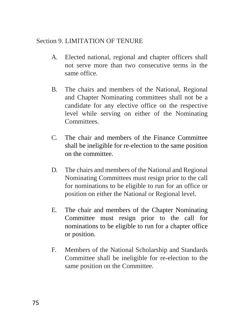### Section 9. LIMITATION OF TENURE

- A. Elected national, regional and chapter officers shall not serve more than two consecutive terms in the same office.
- B. The chairs and members of the National, Regional and Chapter Nominating committees shall not be a candidate for any elective office on the respective level while serving on either of the Nominating Committees.
- C. The chair and members of the Finance Committee shall be ineligible for re-election to the same position on the committee.
- D. The chairs and members of the National and Regional Nominating Committees must resign prior to the call for nominations to be eligible to run for an office or position on either the National or Regional level.
- E. The chair and members of the Chapter Nominating Committee must resign prior to the call for nominations to be eligible to run for a chapter office or position.
- F. Members of the National Scholarship and Standards Committee shall be ineligible for re-election to the same position on the Committee.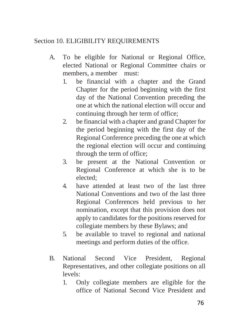## Section 10. ELIGIBILITY REQUIREMENTS

- A. To be eligible for National or Regional Office, elected National or Regional Committee chairs or members, a member must:
	- 1. be financial with a chapter and the Grand Chapter for the period beginning with the first day of the National Convention preceding the one at which the national election will occur and continuing through her term of office;
	- 2. be financial with a chapter and grand Chapter for the period beginning with the first day of the Regional Conference preceding the one at which the regional election will occur and continuing through the term of office;
	- 3. be present at the National Convention or Regional Conference at which she is to be elected;
	- 4. have attended at least two of the last three National Conventions and two of the last three Regional Conferences held previous to her nomination, except that this provision does not apply to candidates for the positions reserved for collegiate members by these Bylaws; and
	- 5. be available to travel to regional and national meetings and perform duties of the office.
- B. National Second Vice President, Regional Representatives, and other collegiate positions on all levels:
	- 1. Only collegiate members are eligible for the office of National Second Vice President and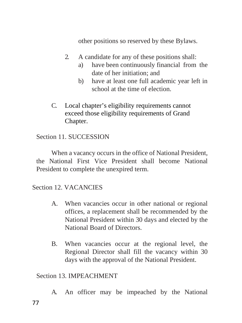other positions so reserved by these Bylaws.

- 2. A candidate for any of these positions shall:
	- a) have been continuously financial from the date of her initiation; and
	- b) have at least one full academic year left in school at the time of election.
- C. Local chapter's eligibility requirements cannot exceed those eligibility requirements of Grand Chapter.

## Section 11. SUCCESSION

When a vacancy occurs in the office of National President, the National First Vice President shall become National President to complete the unexpired term.

Section 12. VACANCIES

- A. When vacancies occur in other national or regional offices, a replacement shall be recommended by the National President within 30 days and elected by the National Board of Directors.
- B. When vacancies occur at the regional level, the Regional Director shall fill the vacancy within 30 days with the approval of the National President.

## Section 13. IMPEACHMENT

A. An officer may be impeached by the National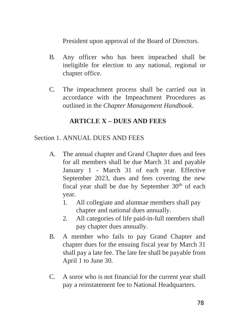President upon approval of the Board of Directors.

- B. Any officer who has been impeached shall be ineligible for election to any national, regional or chapter office.
- C. The impeachment process shall be carried out in accordance with the Impeachment Procedures as outlined in the *Chapter Management Handbook*.

# **ARTICLE X – DUES AND FEES**

## Section 1. ANNUAL DUES AND FEES

- A. The annual chapter and Grand Chapter dues and fees for all members shall be due March 31 and payable January 1 - March 31 of each year. Effective September 2023, dues and fees covering the new fiscal year shall be due by September  $30<sup>th</sup>$  of each year.
	- 1. All collegiate and alumnae members shall pay chapter and national dues annually.
	- 2. All categories of life paid-in-full members shall pay chapter dues annually.
- B. A member who fails to pay Grand Chapter and chapter dues for the ensuing fiscal year by March 31 shall pay a late fee. The late fee shall be payable from April 1 to June 30.
- C. A soror who is not financial for the current year shall pay a reinstatement fee to National Headquarters.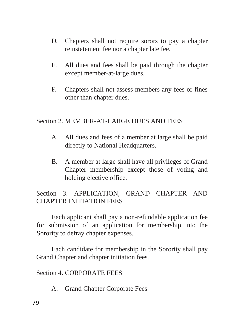- D. Chapters shall not require sorors to pay a chapter reinstatement fee nor a chapter late fee.
- E. All dues and fees shall be paid through the chapter except member-at-large dues.
- F. Chapters shall not assess members any fees or fines other than chapter dues.

#### Section 2. MEMBER-AT-LARGE DUES AND FEES

- A. All dues and fees of a member at large shall be paid directly to National Headquarters.
- B. A member at large shall have all privileges of Grand Chapter membership except those of voting and holding elective office.

Section 3. APPLICATION, GRAND CHAPTER AND CHAPTER INITIATION FEES

Each applicant shall pay a non-refundable application fee for submission of an application for membership into the Sorority to defray chapter expenses.

Each candidate for membership in the Sorority shall pay Grand Chapter and chapter initiation fees.

Section 4. CORPORATE FEES

A. Grand Chapter Corporate Fees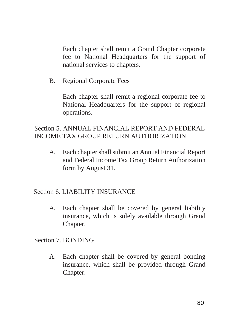Each chapter shall remit a Grand Chapter corporate fee to National Headquarters for the support of national services to chapters.

B. Regional Corporate Fees

Each chapter shall remit a regional corporate fee to National Headquarters for the support of regional operations.

## Section 5. ANNUAL FINANCIAL REPORT AND FEDERAL INCOME TAX GROUP RETURN AUTHORIZATION

A. Each chapter shall submit an Annual Financial Report and Federal Income Tax Group Return Authorization form by August 31.

## Section 6. LIABILITY INSURANCE

A. Each chapter shall be covered by general liability insurance, which is solely available through Grand Chapter.

## Section 7. BONDING

A. Each chapter shall be covered by general bonding insurance, which shall be provided through Grand Chapter.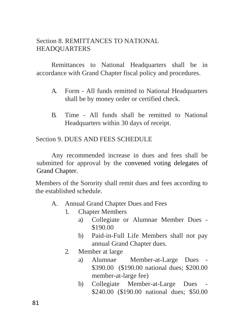## Section 8. REMITTANCES TO NATIONAL **HEADOUARTERS**

Remittances to National Headquarters shall be in accordance with Grand Chapter fiscal policy and procedures.

- A. Form All funds remitted to National Headquarters shall be by money order or certified check.
- B. Time All funds shall be remitted to National Headquarters within 30 days of receipt.

Section 9. DUES AND FEES SCHEDULE

Any recommended increase in dues and fees shall be submitted for approval by the convened voting delegates of Grand Chapter.

Members of the Sorority shall remit dues and fees according to the established schedule.

- A. Annual Grand Chapter Dues and Fees
	- 1. Chapter Members
		- a) Collegiate or Alumnae Member Dues \$190.00
		- b) Paid-in-Full Life Members shall not pay annual Grand Chapter dues.
	- 2. Member at large
		- a) Alumnae Member-at-Large Dues \$390.00 (\$190.00 national dues; \$200.00 member-at-large fee)
		- b) Collegiate Member-at-Large Dues \$240.00 (\$190.00 national dues; \$50.00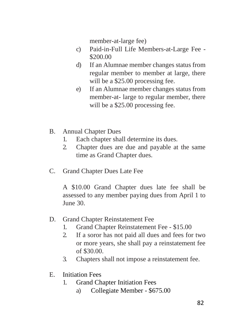member-at-large fee)

- c) Paid-in-Full Life Members-at-Large Fee \$200.00
- d) If an Alumnae member changes status from regular member to member at large, there will be a \$25.00 processing fee.
- e) If an Alumnae member changes status from member-at- large to regular member, there will be a \$25.00 processing fee.
- B. Annual Chapter Dues
	- 1. Each chapter shall determine its dues.
	- 2. Chapter dues are due and payable at the same time as Grand Chapter dues.
- C. Grand Chapter Dues Late Fee

A \$10.00 Grand Chapter dues late fee shall be assessed to any member paying dues from April 1 to June 30.

- D. Grand Chapter Reinstatement Fee
	- 1. Grand Chapter Reinstatement Fee \$15.00
	- 2. If a soror has not paid all dues and fees for two or more years, she shall pay a reinstatement fee of \$30.00.
	- 3. Chapters shall not impose a reinstatement fee.
- E. Initiation Fees
	- 1. Grand Chapter Initiation Fees
		- a) Collegiate Member \$675.00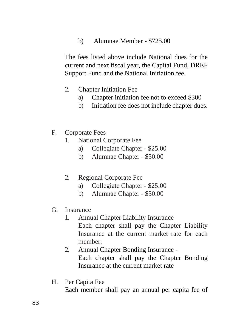b) Alumnae Member - \$725.00

The fees listed above include National dues for the current and next fiscal year, the Capital Fund, DREF Support Fund and the National Initiation fee.

- 2. Chapter Initiation Fee
	- a) Chapter initiation fee not to exceed \$300
	- b) Initiation fee does not include chapter dues.
- F. Corporate Fees
	- 1. National Corporate Fee
		- a) Collegiate Chapter \$25.00
		- b) Alumnae Chapter \$50.00
	- 2. Regional Corporate Fee
		- a) Collegiate Chapter \$25.00
		- b) Alumnae Chapter \$50.00
- G. Insurance
	- 1. Annual Chapter Liability Insurance Each chapter shall pay the Chapter Liability Insurance at the current market rate for each member.
	- 2. Annual Chapter Bonding Insurance Each chapter shall pay the Chapter Bonding Insurance at the current market rate
- H. Per Capita Fee Each member shall pay an annual per capita fee of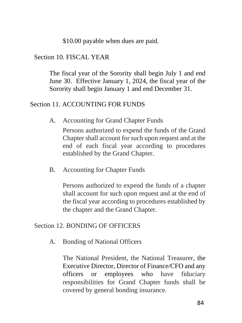\$10.00 payable when dues are paid.

#### Section 10. FISCAL YEAR

The fiscal year of the Sorority shall begin July 1 and end June 30. Effective January 1, 2024, the fiscal year of the Sorority shall begin January 1 and end December 31.

#### Section 11. ACCOUNTING FOR FUNDS

A. Accounting for Grand Chapter Funds

Persons authorized to expend the funds of the Grand Chapter shall account for such upon request and at the end of each fiscal year according to procedures established by the Grand Chapter.

B. Accounting for Chapter Funds

Persons authorized to expend the funds of a chapter shall account for such upon request and at the end of the fiscal year according to procedures established by the chapter and the Grand Chapter.

#### Section 12. BONDING OF OFFICERS

A. Bonding of National Officers

The National President, the National Treasurer, the Executive Director, Director of Finance/CFO and any officers or employees who have fiduciary responsibilities for Grand Chapter funds shall be covered by general bonding insurance.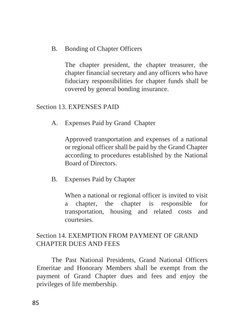B. Bonding of Chapter Officers

The chapter president, the chapter treasurer, the chapter financial secretary and any officers who have fiduciary responsibilities for chapter funds shall be covered by general bonding insurance.

#### Section 13. EXPENSES PAID

A. Expenses Paid by Grand Chapter

Approved transportation and expenses of a national or regional officer shall be paid by the Grand Chapter according to procedures established by the National Board of Directors.

B. Expenses Paid by Chapter

When a national or regional officer is invited to visit a chapter, the chapter is responsible for transportation, housing and related costs and courtesies.

## Section 14. EXEMPTION FROM PAYMENT OF GRAND CHAPTER DUES AND FEES

The Past National Presidents, Grand National Officers Emeritae and Honorary Members shall be exempt from the payment of Grand Chapter dues and fees and enjoy the privileges of life membership.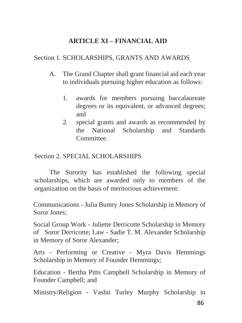# **ARTICLE XI – FINANCIAL AID**

### Section 1. SCHOLARSHIPS, GRANTS AND AWARDS

- A. The Grand Chapter shall grant financial aid each year to individuals pursuing higher education as follows:
	- 1. awards for members pursuing baccalaureate degrees or its equivalent, or advanced degrees; and
	- 2. special grants and awards as recommended by the National Scholarship and Standards Committee.

## Section 2. SPECIAL SCHOLARSHIPS

The Sorority has established the following special scholarships, which are awarded only to members of the organization on the basis of meritorious achievement:

Communications - Julia Bumry Jones Scholarship in Memory of Soror Jones;

Social Group Work - Juliette Derricotte Scholarship in Memory of Soror Derricotte; Law - Sadie T. M. Alexander Scholarship in Memory of Soror Alexander;

Arts - Performing or Creative - Myra Davis Hemmings Scholarship in Memory of Founder Hemmings;

Education - Bertha Pitts Campbell Scholarship in Memory of Founder Campbell; and

Ministry/Religion - Vashti Turley Murphy Scholarship in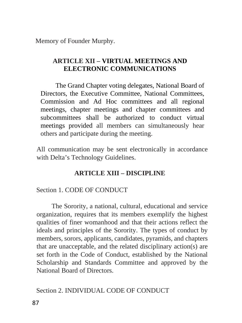Memory of Founder Murphy.

# **ARTICLE XII – VIRTUAL MEETINGS AND ELECTRONIC COMMUNICATIONS**

The Grand Chapter voting delegates, National Board of Directors, the Executive Committee, National Committees, Commission and Ad Hoc committees and all regional meetings, chapter meetings and chapter committees and subcommittees shall be authorized to conduct virtual meetings provided all members can simultaneously hear others and participate during the meeting.

All communication may be sent electronically in accordance with Delta's Technology Guidelines.

# **ARTICLE XIII – DISCIPLINE**

# Section 1. CODE OF CONDUCT

The Sorority, a national, cultural, educational and service organization, requires that its members exemplify the highest qualities of finer womanhood and that their actions reflect the ideals and principles of the Sorority. The types of conduct by members, sorors, applicants, candidates, pyramids, and chapters that are unacceptable, and the related disciplinary action(s) are set forth in the Code of Conduct, established by the National Scholarship and Standards Committee and approved by the National Board of Directors.

## Section 2. INDIVIDUAL CODE OF CONDUCT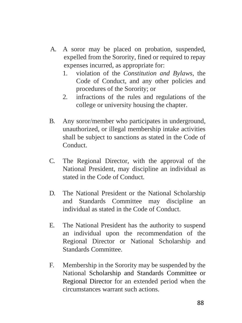- A. A soror may be placed on probation, suspended, expelled from the Sorority, fined or required to repay expenses incurred, as appropriate for:
	- 1. violation of the *Constitution and Bylaws*, the Code of Conduct, and any other policies and procedures of the Sorority; or
	- 2. infractions of the rules and regulations of the college or university housing the chapter.
- B. Any soror/member who participates in underground, unauthorized, or illegal membership intake activities shall be subject to sanctions as stated in the Code of Conduct.
- C. The Regional Director, with the approval of the National President, may discipline an individual as stated in the Code of Conduct.
- D. The National President or the National Scholarship and Standards Committee may discipline an individual as stated in the Code of Conduct.
- E. The National President has the authority to suspend an individual upon the recommendation of the Regional Director or National Scholarship and Standards Committee.
- F. Membership in the Sorority may be suspended by the National Scholarship and Standards Committee or Regional Director for an extended period when the circumstances warrant such actions.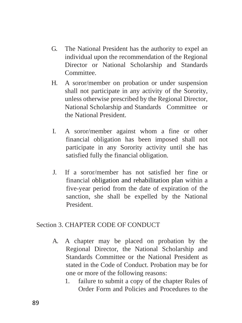- G. The National President has the authority to expel an individual upon the recommendation of the Regional Director or National Scholarship and Standards Committee.
- H. A soror/member on probation or under suspension shall not participate in any activity of the Sorority, unless otherwise prescribed by the Regional Director, National Scholarship and Standards Committee or the National President.
- I. A soror/member against whom a fine or other financial obligation has been imposed shall not participate in any Sorority activity until she has satisfied fully the financial obligation.
- J. If a soror/member has not satisfied her fine or financial obligation and rehabilitation plan within a five-year period from the date of expiration of the sanction, she shall be expelled by the National President.

## Section 3. CHAPTER CODE OF CONDUCT

- A. A chapter may be placed on probation by the Regional Director, the National Scholarship and Standards Committee or the National President as stated in the Code of Conduct. Probation may be for one or more of the following reasons:
	- 1. failure to submit a copy of the chapter Rules of Order Form and Policies and Procedures to the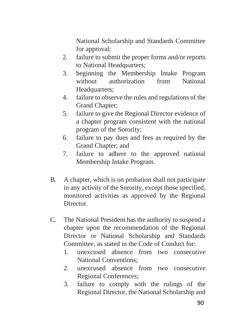National Scholarship and Standards Committee for approval;

- 2. failure to submit the proper forms and/or reports to National Headquarters;
- 3. beginning the Membership Intake Program without authorization from National Headquarters;
- 4. failure to observe the rules and regulations of the Grand Chapter;
- 5. failure to give the Regional Director evidence of a chapter program consistent with the national program of the Sorority;
- 6. failure to pay dues and fees as required by the Grand Chapter; and
- 7. failure to adhere to the approved national Membership Intake Program.
- B. A chapter, which is on probation shall not participate in any activity of the Sorority, except those specified, monitored activities as approved by the Regional Director.
- C. The National President has the authority to suspend a chapter upon the recommendation of the Regional Director or National Scholarship and Standards Committee, as stated in the Code of Conduct for:
	- 1. unexcused absence from two consecutive National Conventions;
	- 2. unexcused absence from two consecutive Regional Conferences;
	- 3. failure to comply with the rulings of the Regional Director, the National Scholarship and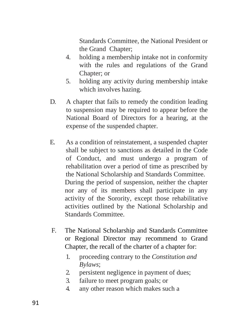Standards Committee, the National President or the Grand Chapter;

- 4. holding a membership intake not in conformity with the rules and regulations of the Grand Chapter; or
- 5. holding any activity during membership intake which involves hazing.
- D. A chapter that fails to remedy the condition leading to suspension may be required to appear before the National Board of Directors for a hearing, at the expense of the suspended chapter.
- E. As a condition of reinstatement, a suspended chapter shall be subject to sanctions as detailed in the Code of Conduct, and must undergo a program of rehabilitation over a period of time as prescribed by the National Scholarship and Standards Committee. During the period of suspension, neither the chapter nor any of its members shall participate in any activity of the Sorority, except those rehabilitative activities outlined by the National Scholarship and Standards Committee.
- F. The National Scholarship and Standards Committee or Regional Director may recommend to Grand Chapter, the recall of the charter of a chapter for:
	- 1. proceeding contrary to the *Constitution and Bylaws*;
	- 2. persistent negligence in payment of dues;
	- 3. failure to meet program goals; or
	- 4. any other reason which makes such a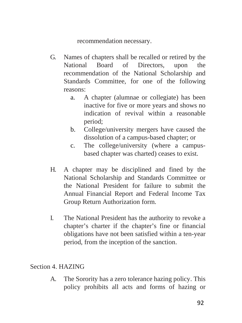recommendation necessary.

- G. Names of chapters shall be recalled or retired by the National Board of Directors, upon the recommendation of the National Scholarship and Standards Committee, for one of the following reasons:
	- a. A chapter (alumnae or collegiate) has been inactive for five or more years and shows no indication of revival within a reasonable period;
	- b. College/university mergers have caused the dissolution of a campus-based chapter; or
	- c. The college/university (where a campusbased chapter was charted) ceases to exist.
- H. A chapter may be disciplined and fined by the National Scholarship and Standards Committee or the National President for failure to submit the Annual Financial Report and Federal Income Tax Group Return Authorization form.
- I. The National President has the authority to revoke a chapter's charter if the chapter's fine or financial obligations have not been satisfied within a ten-year period, from the inception of the sanction.

# Section 4. HAZING

A. The Sorority has a zero tolerance hazing policy. This policy prohibits all acts and forms of hazing or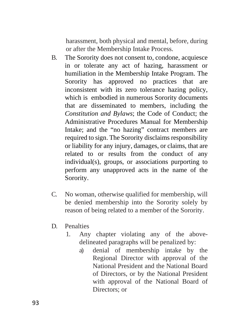harassment, both physical and mental, before, during or after the Membership Intake Process.

- B. The Sorority does not consent to, condone, acquiesce in or tolerate any act of hazing, harassment or humiliation in the Membership Intake Program. The Sorority has approved no practices that are inconsistent with its zero tolerance hazing policy, which is embodied in numerous Sorority documents that are disseminated to members, including the *Constitution and Bylaws*; the Code of Conduct; the Administrative Procedures Manual for Membership Intake; and the "no hazing" contract members are required to sign. The Sorority disclaims responsibility or liability for any injury, damages, or claims, that are related to or results from the conduct of any individual(s), groups, or associations purporting to perform any unapproved acts in the name of the Sorority.
- C. No woman, otherwise qualified for membership, will be denied membership into the Sorority solely by reason of being related to a member of the Sorority.
- D. Penalties
	- 1. Any chapter violating any of the abovedelineated paragraphs will be penalized by:
		- a) denial of membership intake by the Regional Director with approval of the National President and the National Board of Directors, or by the National President with approval of the National Board of Directors; or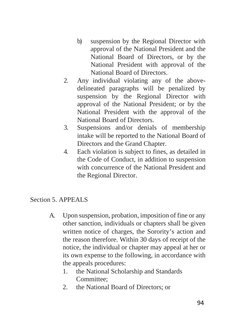- b) suspension by the Regional Director with approval of the National President and the National Board of Directors, or by the National President with approval of the National Board of Directors.
- 2. Any individual violating any of the abovedelineated paragraphs will be penalized by suspension by the Regional Director with approval of the National President; or by the National President with the approval of the National Board of Directors.
- 3. Suspensions and/or denials of membership intake will be reported to the National Board of Directors and the Grand Chapter.
- 4. Each violation is subject to fines, as detailed in the Code of Conduct, in addition to suspension with concurrence of the National President and the Regional Director.

#### Section 5. APPEALS

- A. Upon suspension, probation, imposition of fine or any other sanction, individuals or chapters shall be given written notice of charges, the Sorority's action and the reason therefore. Within 30 days of receipt of the notice, the individual or chapter may appeal at her or its own expense to the following, in accordance with the appeals procedures:
	- 1. the National Scholarship and Standards Committee;
	- 2. the National Board of Directors; or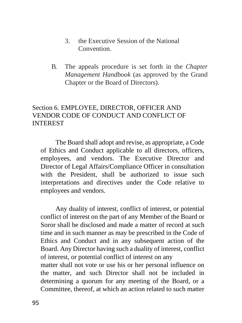- 3. the Executive Session of the National Convention.
- B. The appeals procedure is set forth in the *Chapter Management Handbook* (as approved by the Grand Chapter or the Board of Directors).

## Section 6. EMPLOYEE, DIRECTOR, OFFICER AND VENDOR CODE OF CONDUCT AND CONFLICT OF INTEREST

The Board shall adopt and revise, as appropriate, a Code of Ethics and Conduct applicable to all directors, officers, employees, and vendors. The Executive Director and Director of Legal Affairs/Compliance Officer in consultation with the President, shall be authorized to issue such interpretations and directives under the Code relative to employees and vendors.

Any duality of interest, conflict of interest, or potential conflict of interest on the part of any Member of the Board or Soror shall be disclosed and made a matter of record at such time and in such manner as may be prescribed in the Code of Ethics and Conduct and in any subsequent action of the Board. Any Director having such a duality of interest, conflict of interest, or potential conflict of interest on any matter shall not vote or use his or her personal influence on the matter, and such Director shall not be included in determining a quorum for any meeting of the Board, or a Committee, thereof, at which an action related to such matter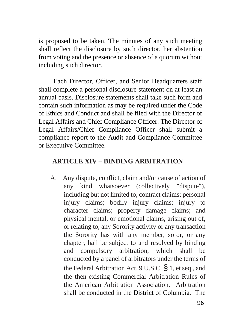is proposed to be taken. The minutes of any such meeting shall reflect the disclosure by such director, her abstention from voting and the presence or absence of a quorum without including such director.

Each Director, Officer, and Senior Headquarters staff shall complete a personal disclosure statement on at least an annual basis. Disclosure statements shall take such form and contain such information as may be required under the Code of Ethics and Conduct and shall be filed with the Director of Legal Affairs and Chief Compliance Officer. The Director of Legal Affairs/Chief Compliance Officer shall submit a compliance report to the Audit and Compliance Committee or Executive Committee.

#### **ARTICLE XIV – BINDING ARBITRATION**

A. Any dispute, conflict, claim and/or cause of action of any kind whatsoever (collectively "dispute"), including but not limited to, contract claims; personal injury claims; bodily injury claims; injury to character claims; property damage claims; and physical mental, or emotional claims, arising out of, or relating to, any Sorority activity or any transaction the Sorority has with any member, soror, or any chapter, hall be subject to and resolved by binding and compulsory arbitration, which shall be conducted by a panel of arbitrators under the terms of the Federal Arbitration Act,  $9$  U.S.C.  $\frac{6}{9}$  1, et seq., and the then-existing Commercial Arbitration Rules of the American Arbitration Association. Arbitration shall be conducted in the District of Columbia. The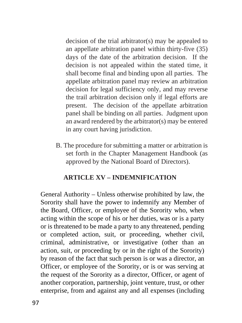decision of the trial arbitrator(s) may be appealed to an appellate arbitration panel within thirty-five (35) days of the date of the arbitration decision. If the decision is not appealed within the stated time, it shall become final and binding upon all parties. The appellate arbitration panel may review an arbitration decision for legal sufficiency only, and may reverse the trail arbitration decision only if legal efforts are present. The decision of the appellate arbitration panel shall be binding on all parties. Judgment upon an award rendered by the arbitrator(s) may be entered in any court having jurisdiction.

B. The procedure for submitting a matter or arbitration is set forth in the Chapter Management Handbook (as approved by the National Board of Directors).

# **ARTICLE XV – INDEMNIFICATION**

General Authority – Unless otherwise prohibited by law, the Sorority shall have the power to indemnify any Member of the Board, Officer, or employee of the Sorority who, when acting within the scope of his or her duties, was or is a party or is threatened to be made a party to any threatened, pending or completed action, suit, or proceeding, whether civil, criminal, administrative, or investigative (other than an action, suit, or proceeding by or in the right of the Sorority) by reason of the fact that such person is or was a director, an Officer, or employee of the Sorority, or is or was serving at the request of the Sorority as a director, Officer, or agent of another corporation, partnership, joint venture, trust, or other enterprise, from and against any and all expenses (including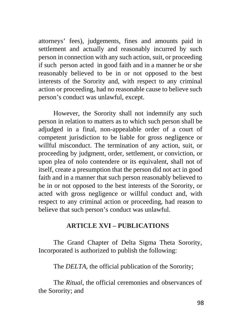attorneys' fees), judgements, fines and amounts paid in settlement and actually and reasonably incurred by such person in connection with any such action, suit, or proceeding if such person acted in good faith and in a manner he or she reasonably believed to be in or not opposed to the best interests of the Sorority and, with respect to any criminal action or proceeding, had no reasonable cause to believe such person's conduct was unlawful, except.

However, the Sorority shall not indemnify any such person in relation to matters as to which such person shall be adjudged in a final, non-appealable order of a court of competent jurisdiction to be liable for gross negligence or willful misconduct. The termination of any action, suit, or proceeding by judgment, order, settlement, or conviction, or upon plea of nolo contendere or its equivalent, shall not of itself, create a presumption that the person did not act in good faith and in a manner that such person reasonably believed to be in or not opposed to the best interests of the Sorority, or acted with gross negligence or willful conduct and, with respect to any criminal action or proceeding, had reason to believe that such person's conduct was unlawful.

## **ARTICLE XVI – PUBLICATIONS**

The Grand Chapter of Delta Sigma Theta Sorority, Incorporated is authorized to publish the following:

The *DELTA*, the official publication of the Sorority;

The *Ritual*, the official ceremonies and observances of the Sorority; and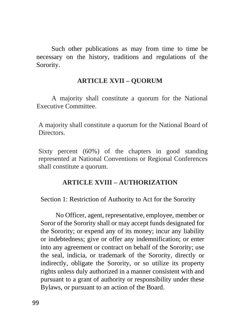Such other publications as may from time to time be necessary on the history, traditions and regulations of the Sorority.

#### **ARTICLE XVII – QUORUM**

A majority shall constitute a quorum for the National Executive Committee.

A majority shall constitute a quorum for the National Board of Directors.

Sixty percent (60%) of the chapters in good standing represented at National Conventions or Regional Conferences shall constitute a quorum.

#### **ARTICLE XVIII – AUTHORIZATION**

Section 1: Restriction of Authority to Act for the Sorority

No Officer, agent, representative, employee, member or Soror of the Sorority shall or may accept funds designated for the Sorority; or expend any of its money; incur any liability or indebtedness; give or offer any indemnification; or enter into any agreement or contract on behalf of the Sorority; use the seal, indicia, or trademark of the Sorority, directly or indirectly, obligate the Sorority, or so utilize its property rights unless duly authorized in a manner consistent with and pursuant to a grant of authority or responsibility under these Bylaws, or pursuant to an action of the Board.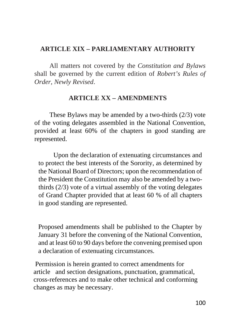## **ARTICLE XIX – PARLIAMENTARY AUTHORITY**

All matters not covered by the *Constitution and Bylaws*  shall be governed by the current edition of *Robert's Rules of Order, Newly Revised*.

#### **ARTICLE XX – AMENDMENTS**

These Bylaws may be amended by a two-thirds (2/3) vote of the voting delegates assembled in the National Convention, provided at least 60% of the chapters in good standing are represented.

Upon the declaration of extenuating circumstances and to protect the best interests of the Sorority, as determined by the National Board of Directors; upon the recommendation of the President the Constitution may also be amended by a twothirds (2/3) vote of a virtual assembly of the voting delegates of Grand Chapter provided that at least 60 % of all chapters in good standing are represented.

Proposed amendments shall be published to the Chapter by January 31 before the convening of the National Convention, and at least 60 to 90 days before the convening premised upon a declaration of extenuating circumstances.

 Permission is herein granted to correct amendments for article and section designations, punctuation, grammatical, cross-references and to make other technical and conforming changes as may be necessary.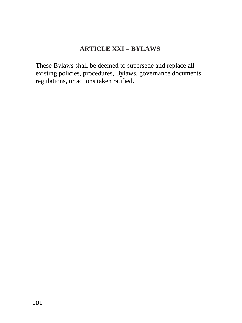## **ARTICLE XXI – BYLAWS**

These Bylaws shall be deemed to supersede and replace all existing policies, procedures, Bylaws, governance documents, regulations, or actions taken ratified.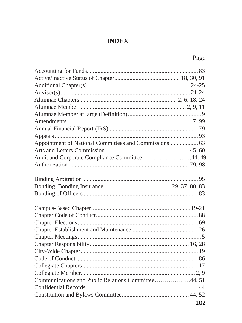## **INDEX**

## Page

| Appointment of National Committees and Commissions 63 |     |
|-------------------------------------------------------|-----|
|                                                       |     |
| Audit and Corporate Compliance Committee44, 49        |     |
|                                                       |     |
|                                                       |     |
|                                                       |     |
|                                                       |     |
|                                                       |     |
|                                                       |     |
|                                                       |     |
|                                                       |     |
|                                                       |     |
|                                                       |     |
|                                                       |     |
|                                                       |     |
|                                                       |     |
|                                                       |     |
|                                                       |     |
| Communications and Public Relations Committee44, 51   |     |
|                                                       |     |
|                                                       |     |
|                                                       | 102 |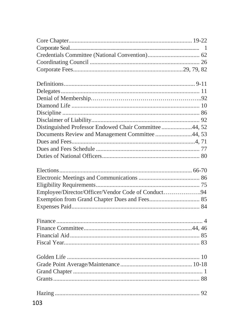| Distinguished Professor Endowed Chair Committee 44, 52 |  |
|--------------------------------------------------------|--|
| Documents Review and Management Committee 44, 53       |  |
|                                                        |  |
|                                                        |  |
|                                                        |  |
|                                                        |  |
|                                                        |  |
|                                                        |  |
|                                                        |  |
| Employee/Director/Officer/Vendor Code of Conduct94     |  |
|                                                        |  |
|                                                        |  |
|                                                        |  |
|                                                        |  |
|                                                        |  |
|                                                        |  |
|                                                        |  |
|                                                        |  |
|                                                        |  |
|                                                        |  |
|                                                        |  |
|                                                        |  |
|                                                        |  |
|                                                        |  |
|                                                        |  |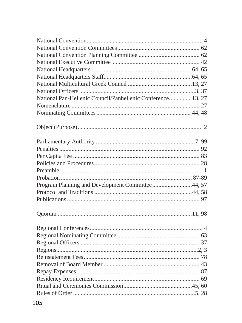| National Pan-Hellenic Council/Panhellenic Conference 13, 27 |  |
|-------------------------------------------------------------|--|
|                                                             |  |
|                                                             |  |
|                                                             |  |
|                                                             |  |
|                                                             |  |
|                                                             |  |
|                                                             |  |
|                                                             |  |
|                                                             |  |
| Program Planning and Development Committee44, 57            |  |
|                                                             |  |
|                                                             |  |
|                                                             |  |
|                                                             |  |
|                                                             |  |
|                                                             |  |
|                                                             |  |
|                                                             |  |
|                                                             |  |
|                                                             |  |
|                                                             |  |
|                                                             |  |
|                                                             |  |